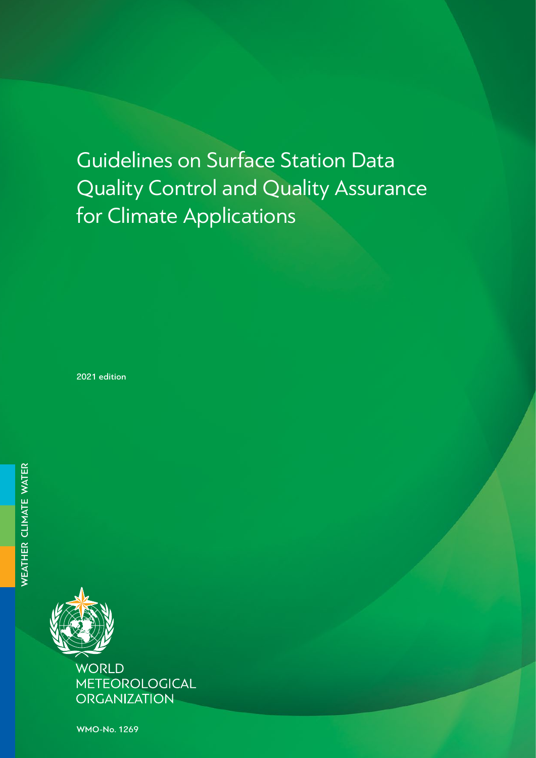# Guidelines on Surface Station Data Quality Control and Quality Assurance for Climate Applications

2021 edition



METEOROLOGICAL **ORGANIZATION** 

WMO-No. 1269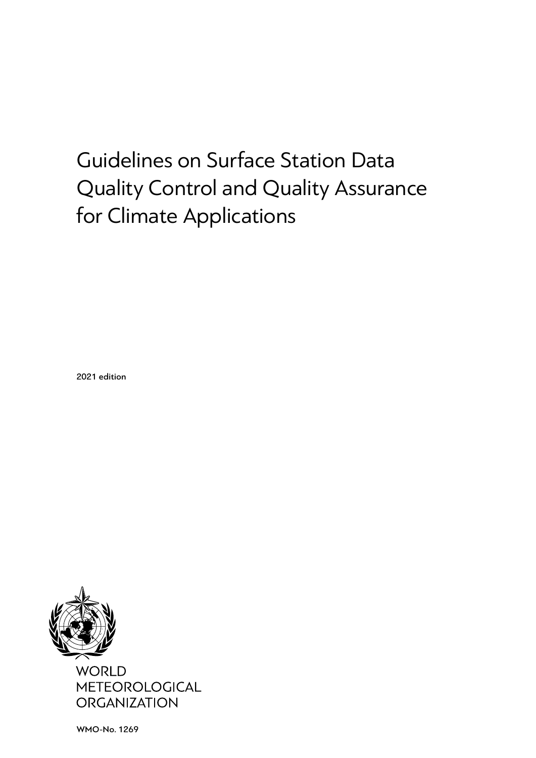# Guidelines on Surface Station Data Quality Control and Quality Assurance for Climate Applications

2021 edition



WMO-No. 1269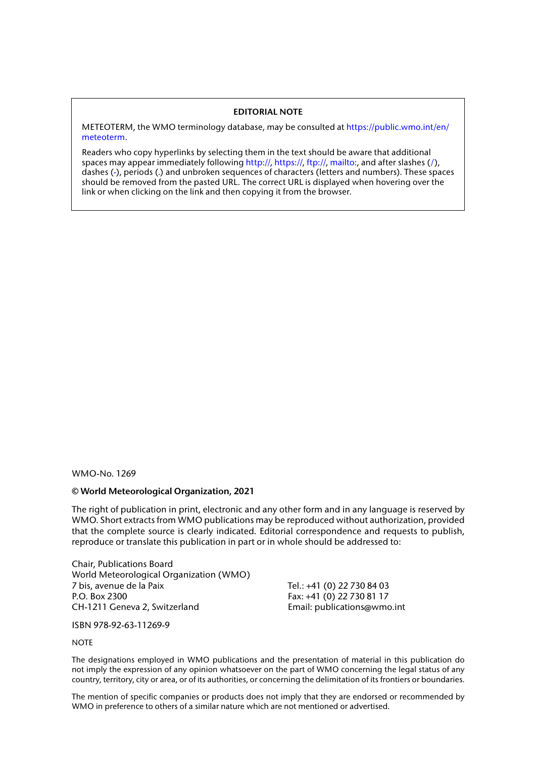#### **EDITORIAL NOTE**

METEOTERM, the WMO terminology database, may be consulted at [https://public.wmo.int/en/](https://public.wmo.int/en/meteoterm) [meteoterm.](https://public.wmo.int/en/meteoterm)

Readers who copy hyperlinks by selecting them in the text should be aware that additional spaces may appear immediately following http://, https://, ftp://, mailto:, and after slashes (/), dashes (-), periods (.) and unbroken sequences of characters (letters and numbers). These spaces should be removed from the pasted URL. The correct URL is displayed when hovering over the link or when clicking on the link and then copying it from the browser.

WMO-No. 1269

#### **© World Meteorological Organization, 2021**

The right of publication in print, electronic and any other form and in any language is reserved by WMO. Short extracts from WMO publications may be reproduced without authorization, provided that the complete source is clearly indicated. Editorial correspondence and requests to publish, reproduce or translate this publication in part or in whole should be addressed to:

Chair, Publications Board World Meteorological Organization (WMO) 7 bis, avenue de la Paix Tel.: +41 (0) 22 730 84 03 P.O. Box 2300 Fax: +41 (0) 22 730 81 17 CH-1211 Geneva 2, Switzerland Email: publications@wmo.int

ISBN 978-92-63-11269-9

#### **NOTE**

The designations employed in WMO publications and the presentation of material in this publication do not imply the expression of any opinion whatsoever on the part of WMO concerning the legal status of any country, territory, city or area, or of its authorities, or concerning the delimitation of its frontiers or boundaries.

The mention of specific companies or products does not imply that they are endorsed or recommended by WMO in preference to others of a similar nature which are not mentioned or advertised.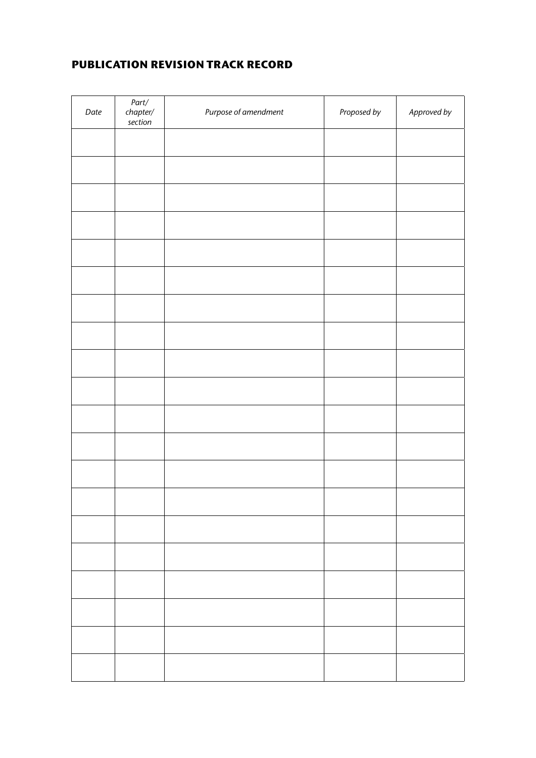## **PUBLICATION REVISION TRACK RECORD**

| Date | ${\it Part/}$<br>$ch$ apter/<br>section | Purpose of amendment | Proposed by | Approved by |
|------|-----------------------------------------|----------------------|-------------|-------------|
|      |                                         |                      |             |             |
|      |                                         |                      |             |             |
|      |                                         |                      |             |             |
|      |                                         |                      |             |             |
|      |                                         |                      |             |             |
|      |                                         |                      |             |             |
|      |                                         |                      |             |             |
|      |                                         |                      |             |             |
|      |                                         |                      |             |             |
|      |                                         |                      |             |             |
|      |                                         |                      |             |             |
|      |                                         |                      |             |             |
|      |                                         |                      |             |             |
|      |                                         |                      |             |             |
|      |                                         |                      |             |             |
|      |                                         |                      |             |             |
|      |                                         |                      |             |             |
|      |                                         |                      |             |             |
|      |                                         |                      |             |             |
|      |                                         |                      |             |             |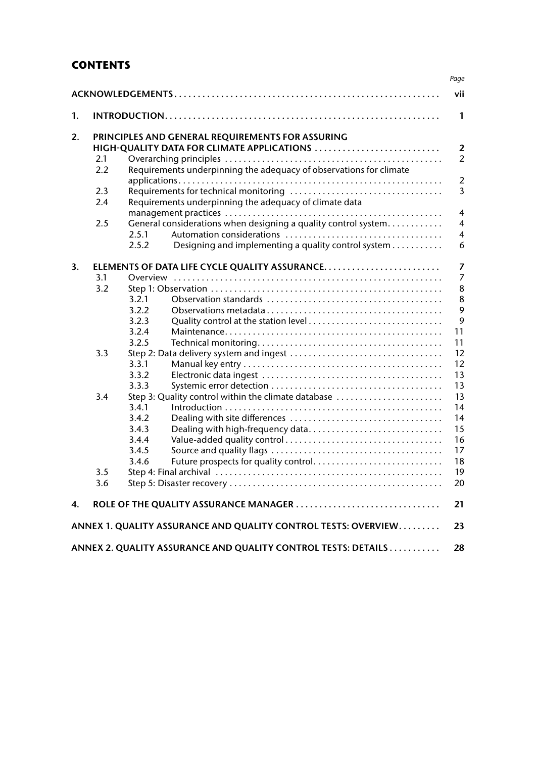## **CONTENTS**

|    |     |       |                                                                    | vii                     |
|----|-----|-------|--------------------------------------------------------------------|-------------------------|
| 1. |     |       |                                                                    | $\mathbf{1}$            |
| 2. |     |       | PRINCIPLES AND GENERAL REQUIREMENTS FOR ASSURING                   |                         |
|    |     |       | HIGH-QUALITY DATA FOR CLIMATE APPLICATIONS                         | $\overline{2}$          |
|    | 2.1 |       |                                                                    | $\overline{2}$          |
|    | 2.2 |       | Requirements underpinning the adequacy of observations for climate |                         |
|    |     |       |                                                                    | $\overline{2}$          |
|    | 2.3 |       |                                                                    | $\overline{3}$          |
|    | 2.4 |       | Requirements underpinning the adequacy of climate data             |                         |
|    |     |       |                                                                    | $\overline{4}$          |
|    | 2.5 |       | General considerations when designing a quality control system     | $\overline{4}$          |
|    |     | 2.5.1 |                                                                    | $\overline{\mathbf{4}}$ |
|    |     | 2.5.2 | Designing and implementing a quality control system                | 6                       |
| 3. |     |       |                                                                    | $\overline{7}$          |
|    | 3.1 |       |                                                                    | $\overline{7}$          |
|    | 3.2 |       |                                                                    | 8                       |
|    |     | 3.2.1 |                                                                    | 8                       |
|    |     | 3.2.2 |                                                                    | 9                       |
|    |     | 3.2.3 |                                                                    | 9                       |
|    |     | 3.2.4 |                                                                    | 11                      |
|    |     | 3.2.5 |                                                                    | 11                      |
|    | 3.3 |       |                                                                    | 12                      |
|    |     | 3.3.1 |                                                                    | 12                      |
|    |     | 3.3.2 |                                                                    | 13                      |
|    |     | 3.3.3 |                                                                    | 13                      |
|    | 3.4 |       | Step 3: Quality control within the climate database                | 13                      |
|    |     | 3.4.1 |                                                                    | 14                      |
|    |     | 3.4.2 |                                                                    | 14                      |
|    |     | 3.4.3 | Dealing with high-frequency data                                   | 15                      |
|    |     | 3.4.4 |                                                                    | 16                      |
|    |     | 3.4.5 |                                                                    | 17                      |
|    |     | 3.4.6 | Future prospects for quality control                               | 18                      |
|    | 3.5 |       |                                                                    | 19                      |
|    | 3.6 |       |                                                                    | 20                      |
| 4. |     |       |                                                                    | 21                      |
|    |     |       | ANNEX 1. QUALITY ASSURANCE AND QUALITY CONTROL TESTS: OVERVIEW     | 23                      |
|    |     |       | ANNEX 2. QUALITY ASSURANCE AND QUALITY CONTROL TESTS: DETAILS      | 28                      |

*Page*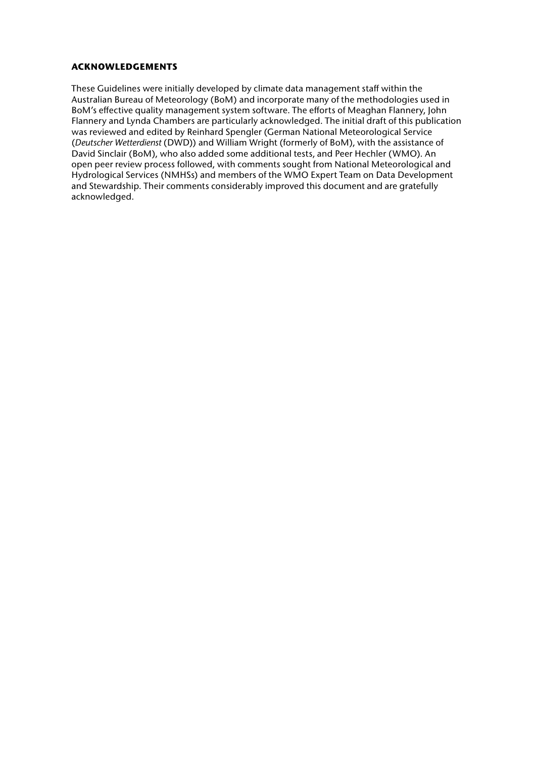#### <span id="page-8-0"></span>**ACKNOWLEDGEMENTS**

These Guidelines were initially developed by climate data management staff within the Australian Bureau of Meteorology (BoM) and incorporate many of the methodologies used in BoM's effective quality management system software. The efforts of Meaghan Flannery, John Flannery and Lynda Chambers are particularly acknowledged. The initial draft of this publication was reviewed and edited by Reinhard Spengler (German National Meteorological Service (*Deutscher Wetterdienst* (DWD)) and William Wright (formerly of BoM), with the assistance of David Sinclair (BoM), who also added some additional tests, and Peer Hechler (WMO). An open peer review process followed, with comments sought from National Meteorological and Hydrological Services (NMHSs) and members of the WMO Expert Team on Data Development and Stewardship. Their comments considerably improved this document and are gratefully acknowledged.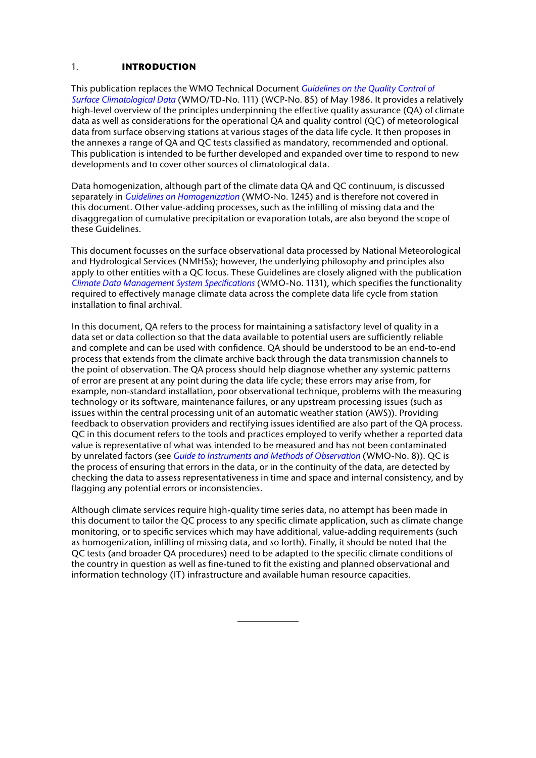#### <span id="page-10-0"></span>1. **INTRODUCTION**

This publication replaces the WMO Technical Document *[Guidelines on the Quality Control of](https://library.wmo.int/index.php?lvl=notice_display&id=11700)  [Surface Climatological Data](https://library.wmo.int/index.php?lvl=notice_display&id=11700)* (WMO/TD-No. 111) (WCP-No. 85) of May 1986. It provides a relatively high-level overview of the principles underpinning the effective quality assurance (QA) of climate data as well as considerations for the operational QA and quality control (QC) of meteorological data from surface observing stations at various stages of the data life cycle. It then proposes in the annexes a range of QA and QC tests classified as mandatory, recommended and optional. This publication is intended to be further developed and expanded over time to respond to new developments and to cover other sources of climatological data.

Data homogenization, although part of the climate data QA and QC continuum, is discussed separately in *[Guidelines on Homogenization](https://library.wmo.int/?lvl=notice_display&id=21756)* (WMO-No. 1245) and is therefore not covered in this document. Other value-adding processes, such as the infilling of missing data and the disaggregation of cumulative precipitation or evaporation totals, are also beyond the scope of these Guidelines.

This document focusses on the surface observational data processed by National Meteorological and Hydrological Services (NMHSs); however, the underlying philosophy and principles also apply to other entities with a QC focus. These Guidelines are closely aligned with the publication *[Climate Data Management System Specifications](https://library.wmo.int/index.php?lvl=notice_display&id=16300)* (WMO-No. 1131), which specifies the functionality required to effectively manage climate data across the complete data life cycle from station installation to final archival.

In this document, QA refers to the process for maintaining a satisfactory level of quality in a data set or data collection so that the data available to potential users are sufficiently reliable and complete and can be used with confidence. QA should be understood to be an end-to-end process that extends from the climate archive back through the data transmission channels to the point of observation. The QA process should help diagnose whether any systemic patterns of error are present at any point during the data life cycle; these errors may arise from, for example, non-standard installation, poor observational technique, problems with the measuring technology or its software, maintenance failures, or any upstream processing issues (such as issues within the central processing unit of an automatic weather station (AWS)). Providing feedback to observation providers and rectifying issues identified are also part of the QA process. QC in this document refers to the tools and practices employed to verify whether a reported data value is representative of what was intended to be measured and has not been contaminated by unrelated factors (see *[Guide to Instruments and Methods of Observation](https://library.wmo.int/index.php?lvl=notice_display&id=12407)* (WMO-No. 8)). QC is the process of ensuring that errors in the data, or in the continuity of the data, are detected by checking the data to assess representativeness in time and space and internal consistency, and by flagging any potential errors or inconsistencies.

Although climate services require high-quality time series data, no attempt has been made in this document to tailor the QC process to any specific climate application, such as climate change monitoring, or to specific services which may have additional, value-adding requirements (such as homogenization, infilling of missing data, and so forth). Finally, it should be noted that the QC tests (and broader QA procedures) need to be adapted to the specific climate conditions of the country in question as well as fine-tuned to fit the existing and planned observational and information technology (IT) infrastructure and available human resource capacities.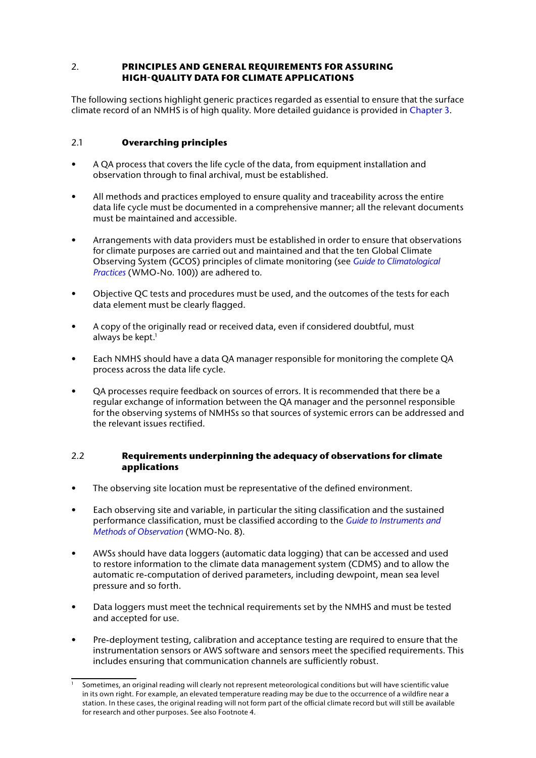## <span id="page-11-0"></span>2. **PRINCIPLES AND GENERAL REQUIREMENTS FOR ASSURING HIGH‑QUALITY DATA FOR CLIMATE APPLICATIONS**

The following sections highlight generic practices regarded as essential to ensure that the surface climate record of an NMHS is of high quality. More detailed guidance is provided in [Chapter 3](#page-16-1).

## 2.1 **Overarching principles**

- A QA process that covers the life cycle of the data, from equipment installation and observation through to final archival, must be established.
- All methods and practices employed to ensure quality and traceability across the entire data life cycle must be documented in a comprehensive manner; all the relevant documents must be maintained and accessible.
- Arrangements with data providers must be established in order to ensure that observations for climate purposes are carried out and maintained and that the ten Global Climate Observing System (GCOS) principles of climate monitoring (see *[Guide to Climatological](https://library.wmo.int/index.php?lvl=notice_display&id=5668)  [Practices](https://library.wmo.int/index.php?lvl=notice_display&id=5668)* (WMO-No. 100)) are adhered to.
- Objective QC tests and procedures must be used, and the outcomes of the tests for each data element must be clearly flagged.
- A copy of the originally read or received data, even if considered doubtful, must always be kept.<sup>1</sup>
- Each NMHS should have a data QA manager responsible for monitoring the complete QA process across the data life cycle.
- QA processes require feedback on sources of errors. It is recommended that there be a regular exchange of information between the QA manager and the personnel responsible for the observing systems of NMHSs so that sources of systemic errors can be addressed and the relevant issues rectified.

## 2.2 **Requirements underpinning the adequacy of observations for climate applications**

- The observing site location must be representative of the defined environment.
- Each observing site and variable, in particular the siting classification and the sustained performance classification, must be classified according to the *[Guide to Instruments and](https://library.wmo.int/index.php?lvl=notice_display&id=12407)  [Methods of Observation](https://library.wmo.int/index.php?lvl=notice_display&id=12407)* (WMO-No. 8).
- AWSs should have data loggers (automatic data logging) that can be accessed and used to restore information to the climate data management system (CDMS) and to allow the automatic re-computation of derived parameters, including dewpoint, mean sea level pressure and so forth.
- Data loggers must meet the technical requirements set by the NMHS and must be tested and accepted for use.
- Pre-deployment testing, calibration and acceptance testing are required to ensure that the instrumentation sensors or AWS software and sensors meet the specified requirements. This includes ensuring that communication channels are sufficiently robust.

Sometimes, an original reading will clearly not represent meteorological conditions but will have scientific value in its own right. For example, an elevated temperature reading may be due to the occurrence of a wildfire near a station. In these cases, the original reading will not form part of the official climate record but will still be available for research and other purposes. See also Footnote 4.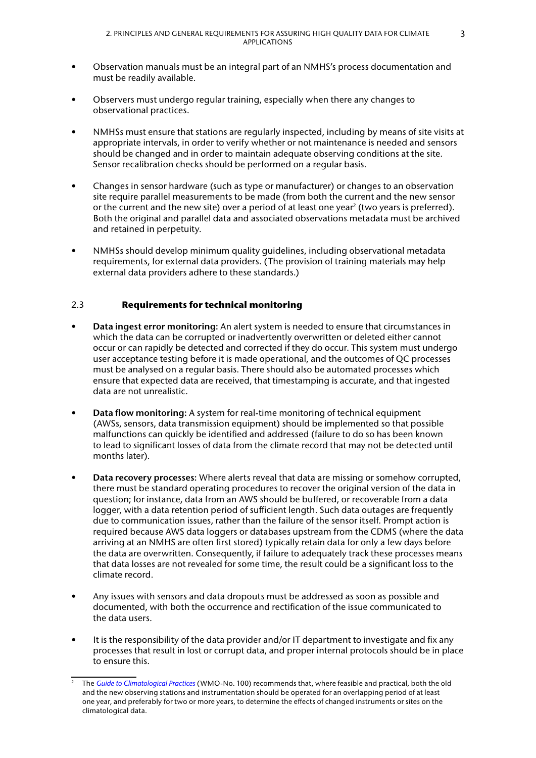- <span id="page-12-0"></span>• Observation manuals must be an integral part of an NMHS's process documentation and must be readily available.
- Observers must undergo regular training, especially when there any changes to observational practices.
- NMHSs must ensure that stations are regularly inspected, including by means of site visits at appropriate intervals, in order to verify whether or not maintenance is needed and sensors should be changed and in order to maintain adequate observing conditions at the site. Sensor recalibration checks should be performed on a regular basis.
- Changes in sensor hardware (such as type or manufacturer) or changes to an observation site require parallel measurements to be made (from both the current and the new sensor or the current and the new site) over a period of at least one year2 (two years is preferred). Both the original and parallel data and associated observations metadata must be archived and retained in perpetuity.
- NMHSs should develop minimum quality guidelines, including observational metadata requirements, for external data providers. (The provision of training materials may help external data providers adhere to these standards.)

## 2.3 **Requirements for technical monitoring**

- **Data ingest error monitoring:** An alert system is needed to ensure that circumstances in which the data can be corrupted or inadvertently overwritten or deleted either cannot occur or can rapidly be detected and corrected if they do occur. This system must undergo user acceptance testing before it is made operational, and the outcomes of QC processes must be analysed on a regular basis. There should also be automated processes which ensure that expected data are received, that timestamping is accurate, and that ingested data are not unrealistic.
- **Data flow monitoring:** A system for real-time monitoring of technical equipment (AWSs, sensors, data transmission equipment) should be implemented so that possible malfunctions can quickly be identified and addressed (failure to do so has been known to lead to significant losses of data from the climate record that may not be detected until months later).
- **Data recovery processes:** Where alerts reveal that data are missing or somehow corrupted, there must be standard operating procedures to recover the original version of the data in question; for instance, data from an AWS should be buffered, or recoverable from a data logger, with a data retention period of sufficient length. Such data outages are frequently due to communication issues, rather than the failure of the sensor itself. Prompt action is required because AWS data loggers or databases upstream from the CDMS (where the data arriving at an NMHS are often first stored) typically retain data for only a few days before the data are overwritten. Consequently, if failure to adequately track these processes means that data losses are not revealed for some time, the result could be a significant loss to the climate record.
- Any issues with sensors and data dropouts must be addressed as soon as possible and documented, with both the occurrence and rectification of the issue communicated to the data users.
- It is the responsibility of the data provider and/or IT department to investigate and fix any processes that result in lost or corrupt data, and proper internal protocols should be in place to ensure this.

<sup>2</sup> The *[Guide to Climatological Practices](https://library.wmo.int/index.php?lvl=notice_display&id=5668)* (WMO-No. 100) recommends that, where feasible and practical, both the old and the new observing stations and instrumentation should be operated for an overlapping period of at least one year, and preferably for two or more years, to determine the effects of changed instruments or sites on the climatological data.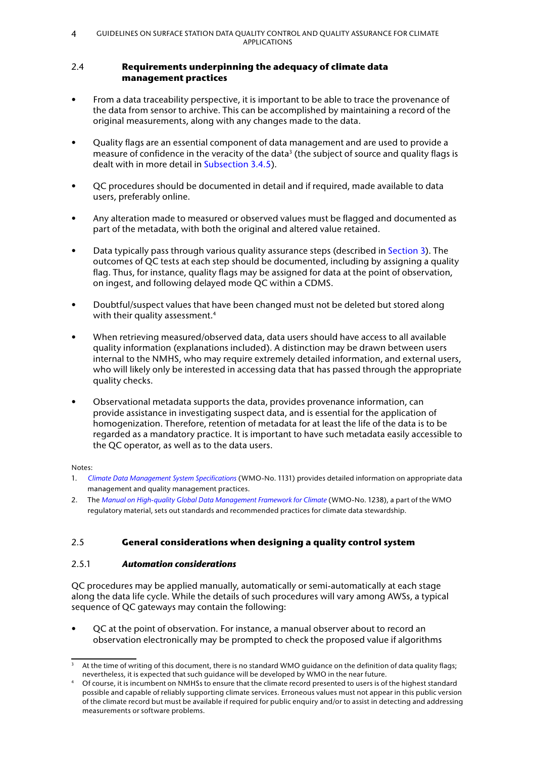#### <span id="page-13-0"></span>2.4 **Requirements underpinning the adequacy of climate data management practices**

- From a data traceability perspective, it is important to be able to trace the provenance of the data from sensor to archive. This can be accomplished by maintaining a record of the original measurements, along with any changes made to the data.
- Quality flags are an essential component of data management and are used to provide a measure of confidence in the veracity of the data<sup>3</sup> (the subject of source and quality flags is dealt with in more detail in [Subsection 3.4.5\)](#page-26-1).
- QC procedures should be documented in detail and if required, made available to data users, preferably online.
- Any alteration made to measured or observed values must be flagged and documented as part of the metadata, with both the original and altered value retained.
- Data typically pass through various quality assurance steps (described in [Section 3](#page-16-1)). The outcomes of QC tests at each step should be documented, including by assigning a quality flag. Thus, for instance, quality flags may be assigned for data at the point of observation, on ingest, and following delayed mode QC within a CDMS.
- Doubtful/suspect values that have been changed must not be deleted but stored along with their quality assessment.<sup>4</sup>
- When retrieving measured/observed data, data users should have access to all available quality information (explanations included). A distinction may be drawn between users internal to the NMHS, who may require extremely detailed information, and external users, who will likely only be interested in accessing data that has passed through the appropriate quality checks.
- Observational metadata supports the data, provides provenance information, can provide assistance in investigating suspect data, and is essential for the application of homogenization. Therefore, retention of metadata for at least the life of the data is to be regarded as a mandatory practice. It is important to have such metadata easily accessible to the QC operator, as well as to the data users.

### Notes:

- 1. *[Climate Data Management System Specifications](https://library.wmo.int/index.php?lvl=notice_display&id=16300)* (WMO-No. 1131) provides detailed information on appropriate data management and quality management practices.
- 2. The *Manual on High-quality Global Data Management Framework for Climate* (WMO-No. 1238), a part of the WMO regulatory material, sets out standards and recommended practices for climate data stewardship.

## <span id="page-13-1"></span>2.5 **General considerations when designing a quality control system**

## 2.5.1 *Automation considerations*

QC procedures may be applied manually, automatically or semi-automatically at each stage along the data life cycle. While the details of such procedures will vary among AWSs, a typical sequence of QC gateways may contain the following:

• QC at the point of observation. For instance, a manual observer about to record an observation electronically may be prompted to check the proposed value if algorithms

At the time of writing of this document, there is no standard WMO guidance on the definition of data quality flags; nevertheless, it is expected that such guidance will be developed by WMO in the near future.

<sup>4</sup> Of course, it is incumbent on NMHSs to ensure that the climate record presented to users is of the highest standard possible and capable of reliably supporting climate services. Erroneous values must not appear in this public version of the climate record but must be available if required for public enquiry and/or to assist in detecting and addressing measurements or software problems.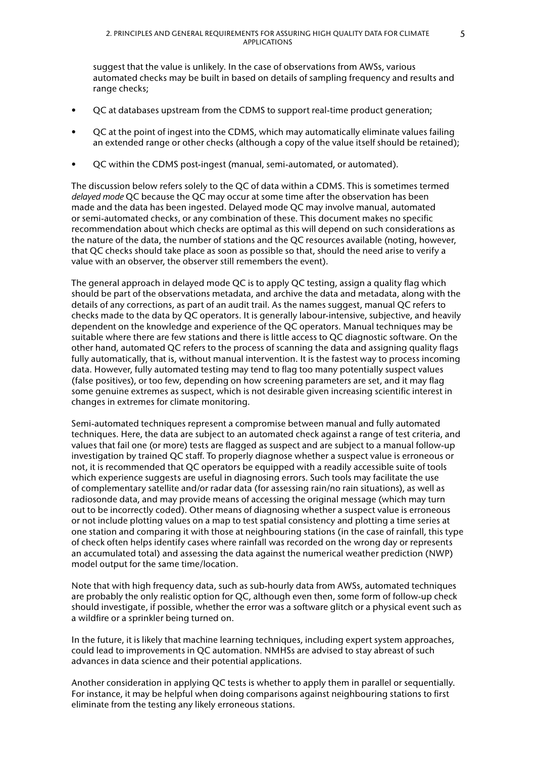suggest that the value is unlikely. In the case of observations from AWSs, various automated checks may be built in based on details of sampling frequency and results and range checks;

- QC at databases upstream from the CDMS to support real-time product generation;
- QC at the point of ingest into the CDMS, which may automatically eliminate values failing an extended range or other checks (although a copy of the value itself should be retained);
- QC within the CDMS post-ingest (manual, semi-automated, or automated).

The discussion below refers solely to the QC of data within a CDMS. This is sometimes termed *delayed mode* QC because the QC may occur at some time after the observation has been made and the data has been ingested. Delayed mode QC may involve manual, automated or semi-automated checks, or any combination of these. This document makes no specific recommendation about which checks are optimal as this will depend on such considerations as the nature of the data, the number of stations and the QC resources available (noting, however, that QC checks should take place as soon as possible so that, should the need arise to verify a value with an observer, the observer still remembers the event).

The general approach in delayed mode QC is to apply QC testing, assign a quality flag which should be part of the observations metadata, and archive the data and metadata, along with the details of any corrections, as part of an audit trail. As the names suggest, manual QC refers to checks made to the data by QC operators. It is generally labour-intensive, subjective, and heavily dependent on the knowledge and experience of the QC operators. Manual techniques may be suitable where there are few stations and there is little access to QC diagnostic software. On the other hand, automated QC refers to the process of scanning the data and assigning quality flags fully automatically, that is, without manual intervention. It is the fastest way to process incoming data. However, fully automated testing may tend to flag too many potentially suspect values (false positives), or too few, depending on how screening parameters are set, and it may flag some genuine extremes as suspect, which is not desirable given increasing scientific interest in changes in extremes for climate monitoring.

Semi-automated techniques represent a compromise between manual and fully automated techniques. Here, the data are subject to an automated check against a range of test criteria, and values that fail one (or more) tests are flagged as suspect and are subject to a manual follow-up investigation by trained QC staff. To properly diagnose whether a suspect value is erroneous or not, it is recommended that QC operators be equipped with a readily accessible suite of tools which experience suggests are useful in diagnosing errors. Such tools may facilitate the use of complementary satellite and/or radar data (for assessing rain/no rain situations), as well as radiosonde data, and may provide means of accessing the original message (which may turn out to be incorrectly coded). Other means of diagnosing whether a suspect value is erroneous or not include plotting values on a map to test spatial consistency and plotting a time series at one station and comparing it with those at neighbouring stations (in the case of rainfall, this type of check often helps identify cases where rainfall was recorded on the wrong day or represents an accumulated total) and assessing the data against the numerical weather prediction (NWP) model output for the same time/location.

Note that with high frequency data, such as sub-hourly data from AWSs, automated techniques are probably the only realistic option for QC, although even then, some form of follow-up check should investigate, if possible, whether the error was a software glitch or a physical event such as a wildfire or a sprinkler being turned on.

In the future, it is likely that machine learning techniques, including expert system approaches, could lead to improvements in QC automation. NMHSs are advised to stay abreast of such advances in data science and their potential applications.

Another consideration in applying QC tests is whether to apply them in parallel or sequentially. For instance, it may be helpful when doing comparisons against neighbouring stations to first eliminate from the testing any likely erroneous stations.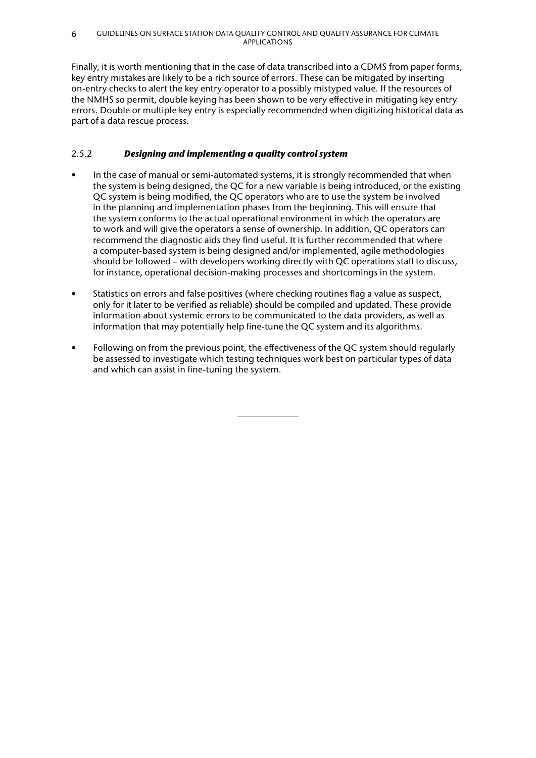<span id="page-15-0"></span>Finally, it is worth mentioning that in the case of data transcribed into a CDMS from paper forms, key entry mistakes are likely to be a rich source of errors. These can be mitigated by inserting on-entry checks to alert the key entry operator to a possibly mistyped value. If the resources of the NMHS so permit, double keying has been shown to be very effective in mitigating key entry errors. Double or multiple key entry is especially recommended when digitizing historical data as part of a data rescue process.

## 2.5.2 *Designing and implementing a quality control system*

- In the case of manual or semi-automated systems, it is strongly recommended that when the system is being designed, the QC for a new variable is being introduced, or the existing QC system is being modified, the QC operators who are to use the system be involved in the planning and implementation phases from the beginning. This will ensure that the system conforms to the actual operational environment in which the operators are to work and will give the operators a sense of ownership. In addition, QC operators can recommend the diagnostic aids they find useful. It is further recommended that where a computer-based system is being designed and/or implemented, agile methodologies should be followed – with developers working directly with QC operations staff to discuss, for instance, operational decision-making processes and shortcomings in the system.
- Statistics on errors and false positives (where checking routines flag a value as suspect, only for it later to be verified as reliable) should be compiled and updated. These provide information about systemic errors to be communicated to the data providers, as well as information that may potentially help fine-tune the QC system and its algorithms.
- Following on from the previous point, the effectiveness of the QC system should regularly be assessed to investigate which testing techniques work best on particular types of data and which can assist in fine-tuning the system.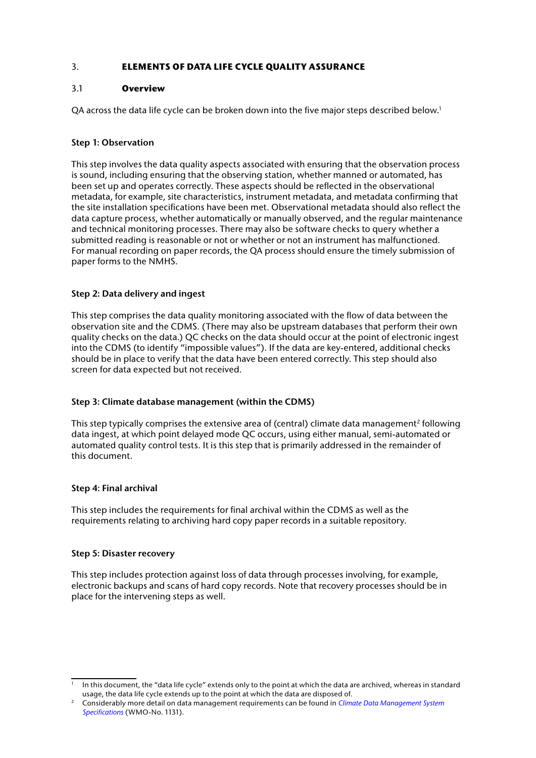## <span id="page-16-1"></span><span id="page-16-0"></span>3. **ELEMENTS OF DATA LIFE CYCLE QUALITY ASSURANCE**

## 3.1 **Overview**

QA across the data life cycle can be broken down into the five major steps described below.<sup>1</sup>

## **Step 1: Observation**

This step involves the data quality aspects associated with ensuring that the observation process is sound, including ensuring that the observing station, whether manned or automated, has been set up and operates correctly. These aspects should be reflected in the observational metadata, for example, site characteristics, instrument metadata, and metadata confirming that the site installation specifications have been met. Observational metadata should also reflect the data capture process, whether automatically or manually observed, and the regular maintenance and technical monitoring processes. There may also be software checks to query whether a submitted reading is reasonable or not or whether or not an instrument has malfunctioned. For manual recording on paper records, the QA process should ensure the timely submission of paper forms to the NMHS.

## **Step 2: Data delivery and ingest**

This step comprises the data quality monitoring associated with the flow of data between the observation site and the CDMS. (There may also be upstream databases that perform their own quality checks on the data.) QC checks on the data should occur at the point of electronic ingest into the CDMS (to identify "impossible values"). If the data are key-entered, additional checks should be in place to verify that the data have been entered correctly. This step should also screen for data expected but not received.

## **Step 3: Climate database management (within the CDMS)**

This step typically comprises the extensive area of (central) climate data management<sup>2</sup> following data ingest, at which point delayed mode QC occurs, using either manual, semi-automated or automated quality control tests. It is this step that is primarily addressed in the remainder of this document.

## **Step 4: Final archival**

This step includes the requirements for final archival within the CDMS as well as the requirements relating to archiving hard copy paper records in a suitable repository.

### **Step 5: Disaster recovery**

This step includes protection against loss of data through processes involving, for example, electronic backups and scans of hard copy records. Note that recovery processes should be in place for the intervening steps as well.

In this document, the "data life cycle" extends only to the point at which the data are archived, whereas in standard usage, the data life cycle extends up to the point at which the data are disposed of.<br>Considerably more detail on data management requirements can be found in *Climate Data Management System* 

*[Specifications](https://library.wmo.int/index.php?lvl=notice_display&id=16300)* (WMO-No. 1131).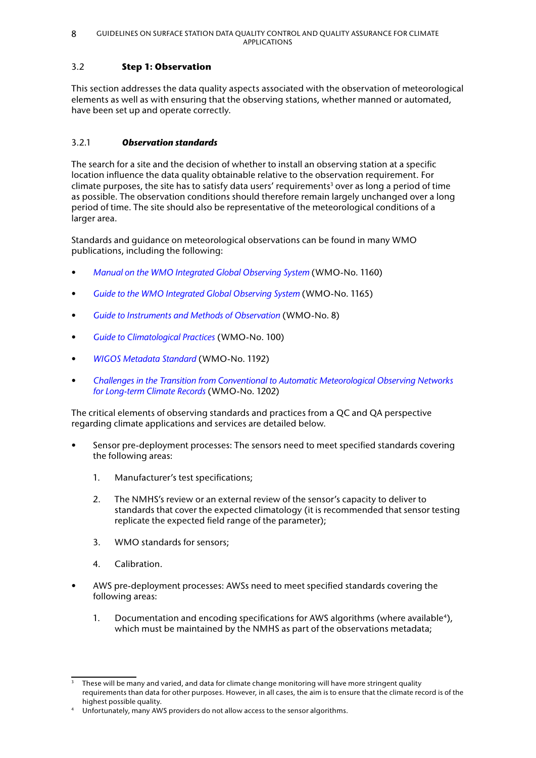## <span id="page-17-0"></span>3.2 **Step 1: Observation**

This section addresses the data quality aspects associated with the observation of meteorological elements as well as with ensuring that the observing stations, whether manned or automated, have been set up and operate correctly.

## 3.2.1 *Observation standards*

The search for a site and the decision of whether to install an observing station at a specific location influence the data quality obtainable relative to the observation requirement. For climate purposes, the site has to satisfy data users' requirements $^3$  over as long a period of time as possible. The observation conditions should therefore remain largely unchanged over a long period of time. The site should also be representative of the meteorological conditions of a larger area.

Standards and guidance on meteorological observations can be found in many WMO publications, including the following:

- *[Manual on the WMO Integrated Global Observing System](https://library.wmo.int/index.php?lvl=notice_display&id=19223)* (WMO-No. 1160)
- *[Guide to the WMO Integrated Global Observing System](https://library.wmo.int/index.php?lvl=notice_display&id=20026)* (WMO-No. 1165)
- *[Guide to Instruments and Methods of Observation](https://library.wmo.int/index.php?lvl=notice_display&id=12407)* (WMO-No. 8)
- *[Guide to Climatological Practices](https://library.wmo.int/index.php?lvl=notice_display&id=5668)* (WMO-No. 100)
- *[WIGOS Metadata Standard](https://library.wmo.int/index.php?lvl=notice_display&id=19925)* (WMO-No. 1192)
- *[Challenges in the Transition from Conventional to Automatic Meteorological Observing Networks](https://library.wmo.int/index.php?lvl=notice_display&id=20154)  [for Long‑term Climate Records](https://library.wmo.int/index.php?lvl=notice_display&id=20154)* (WMO-No. 1202)

The critical elements of observing standards and practices from a QC and QA perspective regarding climate applications and services are detailed below.

- Sensor pre-deployment processes: The sensors need to meet specified standards covering the following areas:
	- 1. Manufacturer's test specifications;
	- 2. The NMHS's review or an external review of the sensor's capacity to deliver to standards that cover the expected climatology (it is recommended that sensor testing replicate the expected field range of the parameter);
	- 3. WMO standards for sensors;
	- 4. Calibration.
- AWS pre-deployment processes: AWSs need to meet specified standards covering the following areas:
	- 1. Documentation and encoding specifications for AWS algorithms (where available<sup>4</sup>), which must be maintained by the NMHS as part of the observations metadata;

These will be many and varied, and data for climate change monitoring will have more stringent quality requirements than data for other purposes. However, in all cases, the aim is to ensure that the climate record is of the highest possible quality.

Unfortunately, many AWS providers do not allow access to the sensor algorithms.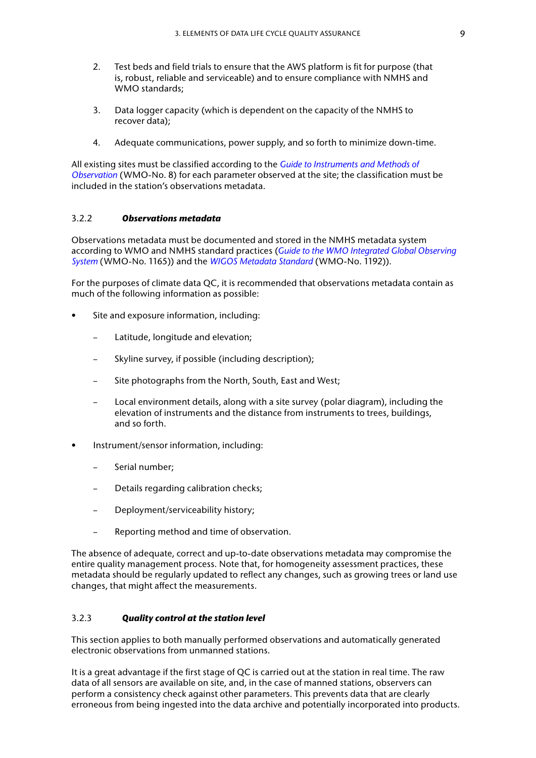- <span id="page-18-0"></span>2. Test beds and field trials to ensure that the AWS platform is fit for purpose (that is, robust, reliable and serviceable) and to ensure compliance with NMHS and WMO standards;
- 3. Data logger capacity (which is dependent on the capacity of the NMHS to recover data);
- 4. Adequate communications, power supply, and so forth to minimize down-time.

All existing sites must be classified according to the *[Guide to Instruments and Methods of](https://library.wmo.int/index.php?lvl=notice_display&id=12407)  [Observation](https://library.wmo.int/index.php?lvl=notice_display&id=12407)* (WMO-No. 8) for each parameter observed at the site; the classification must be included in the station's observations metadata.

#### 3.2.2 *Observations metadata*

Observations metadata must be documented and stored in the NMHS metadata system according to WMO and NMHS standard practices (*[Guide to the WMO Integrated Global Observing](https://library.wmo.int/index.php?lvl=notice_display&id=20026)  [System](https://library.wmo.int/index.php?lvl=notice_display&id=20026)* (WMO-No. 1165)) and the *[WIGOS Metadata Standard](https://library.wmo.int/index.php?lvl=notice_display&id=19925)* (WMO-No. 1192)).

For the purposes of climate data QC, it is recommended that observations metadata contain as much of the following information as possible:

- Site and exposure information, including:
	- Latitude, longitude and elevation;
	- Skyline survey, if possible (including description);
	- Site photographs from the North, South, East and West;
	- Local environment details, along with a site survey (polar diagram), including the elevation of instruments and the distance from instruments to trees, buildings, and so forth.
- Instrument/sensor information, including:
	- Serial number;
	- Details regarding calibration checks;
	- Deployment/serviceability history;
	- Reporting method and time of observation.

The absence of adequate, correct and up-to-date observations metadata may compromise the entire quality management process. Note that, for homogeneity assessment practices, these metadata should be regularly updated to reflect any changes, such as growing trees or land use changes, that might affect the measurements.

#### 3.2.3 *Quality control at the station level*

This section applies to both manually performed observations and automatically generated electronic observations from unmanned stations.

It is a great advantage if the first stage of QC is carried out at the station in real time. The raw data of all sensors are available on site, and, in the case of manned stations, observers can perform a consistency check against other parameters. This prevents data that are clearly erroneous from being ingested into the data archive and potentially incorporated into products.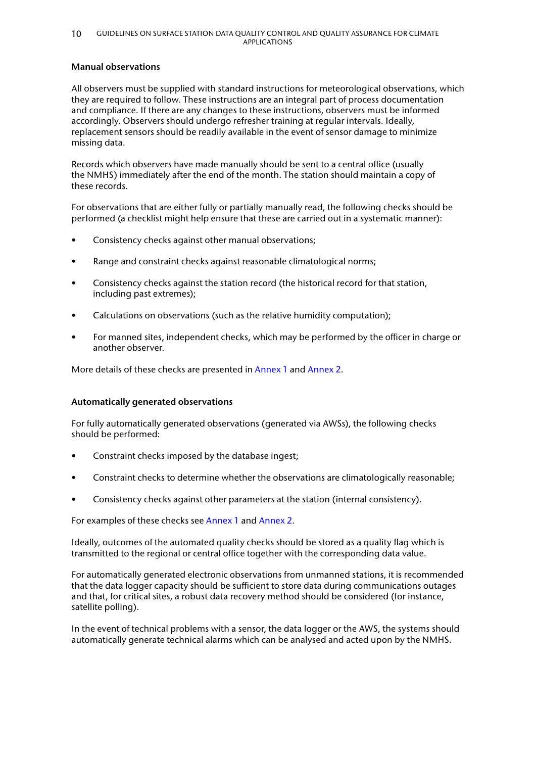#### **Manual observations**

All observers must be supplied with standard instructions for meteorological observations, which they are required to follow. These instructions are an integral part of process documentation and compliance. If there are any changes to these instructions, observers must be informed accordingly. Observers should undergo refresher training at regular intervals. Ideally, replacement sensors should be readily available in the event of sensor damage to minimize missing data.

Records which observers have made manually should be sent to a central office (usually the NMHS) immediately after the end of the month. The station should maintain a copy of these records.

For observations that are either fully or partially manually read, the following checks should be performed (a checklist might help ensure that these are carried out in a systematic manner):

- Consistency checks against other manual observations;
- Range and constraint checks against reasonable climatological norms;
- Consistency checks against the station record (the historical record for that station, including past extremes);
- Calculations on observations (such as the relative humidity computation);
- For manned sites, independent checks, which may be performed by the officer in charge or another observer.

More details of these checks are presented in [Annex 1](#page-32-1) and [Annex 2.](#page-37-1)

#### **Automatically generated observations**

For fully automatically generated observations (generated via AWSs), the following checks should be performed:

- Constraint checks imposed by the database ingest;
- Constraint checks to determine whether the observations are climatologically reasonable;
- Consistency checks against other parameters at the station (internal consistency).

For examples of these checks see [Annex 1](#page-32-1) and [Annex 2](#page-37-1).

Ideally, outcomes of the automated quality checks should be stored as a quality flag which is transmitted to the regional or central office together with the corresponding data value.

For automatically generated electronic observations from unmanned stations, it is recommended that the data logger capacity should be sufficient to store data during communications outages and that, for critical sites, a robust data recovery method should be considered (for instance, satellite polling).

In the event of technical problems with a sensor, the data logger or the AWS, the systems should automatically generate technical alarms which can be analysed and acted upon by the NMHS.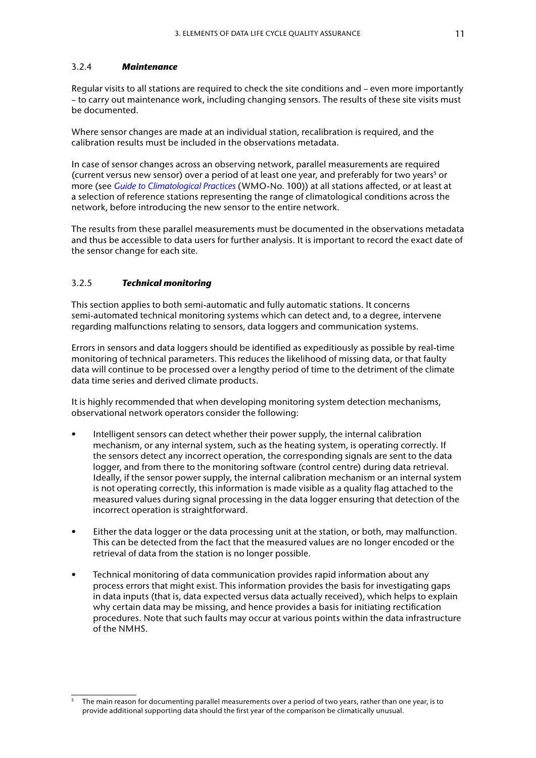#### <span id="page-20-0"></span>3.2.4 *Maintenance*

Regular visits to all stations are required to check the site conditions and – even more importantly – to carry out maintenance work, including changing sensors. The results of these site visits must be documented.

Where sensor changes are made at an individual station, recalibration is required, and the calibration results must be included in the observations metadata.

In case of sensor changes across an observing network, parallel measurements are required (current versus new sensor) over a period of at least one year, and preferably for two years<sup>5</sup> or more (see *[Guide to Climatological Practices](https://library.wmo.int/index.php?lvl=notice_display&id=5668)* (WMO-No. 100)) at all stations affected, or at least at a selection of reference stations representing the range of climatological conditions across the network, before introducing the new sensor to the entire network.

The results from these parallel measurements must be documented in the observations metadata and thus be accessible to data users for further analysis. It is important to record the exact date of the sensor change for each site.

### 3.2.5 *Technical monitoring*

This section applies to both semi-automatic and fully automatic stations. It concerns semi-automated technical monitoring systems which can detect and, to a degree, intervene regarding malfunctions relating to sensors, data loggers and communication systems.

Errors in sensors and data loggers should be identified as expeditiously as possible by real-time monitoring of technical parameters. This reduces the likelihood of missing data, or that faulty data will continue to be processed over a lengthy period of time to the detriment of the climate data time series and derived climate products.

It is highly recommended that when developing monitoring system detection mechanisms, observational network operators consider the following:

- Intelligent sensors can detect whether their power supply, the internal calibration mechanism, or any internal system, such as the heating system, is operating correctly. If the sensors detect any incorrect operation, the corresponding signals are sent to the data logger, and from there to the monitoring software (control centre) during data retrieval. Ideally, if the sensor power supply, the internal calibration mechanism or an internal system is not operating correctly, this information is made visible as a quality flag attached to the measured values during signal processing in the data logger ensuring that detection of the incorrect operation is straightforward.
- Either the data logger or the data processing unit at the station, or both, may malfunction. This can be detected from the fact that the measured values are no longer encoded or the retrieval of data from the station is no longer possible.
- Technical monitoring of data communication provides rapid information about any process errors that might exist. This information provides the basis for investigating gaps in data inputs (that is, data expected versus data actually received), which helps to explain why certain data may be missing, and hence provides a basis for initiating rectification procedures. Note that such faults may occur at various points within the data infrastructure of the NMHS.

<sup>5</sup> The main reason for documenting parallel measurements over a period of two years, rather than one year, is to provide additional supporting data should the first year of the comparison be climatically unusual.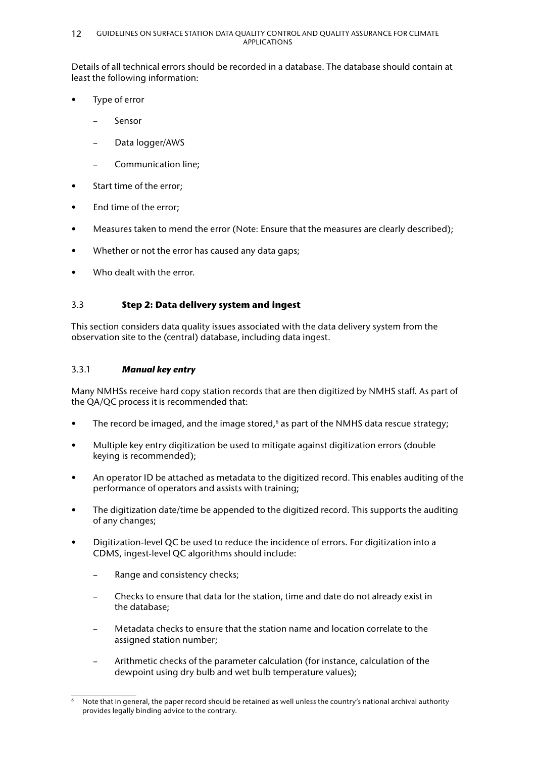<span id="page-21-0"></span>Details of all technical errors should be recorded in a database. The database should contain at least the following information:

- Type of error
	- Sensor
	- Data logger/AWS
	- Communication line;
- Start time of the error;
- End time of the error;
- Measures taken to mend the error (Note: Ensure that the measures are clearly described);
- Whether or not the error has caused any data gaps;
- Who dealt with the error.

## 3.3 **Step 2: Data delivery system and ingest**

This section considers data quality issues associated with the data delivery system from the observation site to the (central) database, including data ingest.

### 3.3.1 *Manual key entry*

Many NMHSs receive hard copy station records that are then digitized by NMHS staff. As part of the QA/QC process it is recommended that:

- The record be imaged, and the image stored,  $6$  as part of the NMHS data rescue strategy;
- Multiple key entry digitization be used to mitigate against digitization errors (double keying is recommended);
- An operator ID be attached as metadata to the digitized record. This enables auditing of the performance of operators and assists with training;
- The digitization date/time be appended to the digitized record. This supports the auditing of any changes;
- Digitization-level QC be used to reduce the incidence of errors. For digitization into a CDMS, ingest-level QC algorithms should include:
	- Range and consistency checks;
	- Checks to ensure that data for the station, time and date do not already exist in the database;
	- Metadata checks to ensure that the station name and location correlate to the assigned station number;
	- Arithmetic checks of the parameter calculation (for instance, calculation of the dewpoint using dry bulb and wet bulb temperature values);

<sup>6</sup> Note that in general, the paper record should be retained as well unless the country's national archival authority provides legally binding advice to the contrary.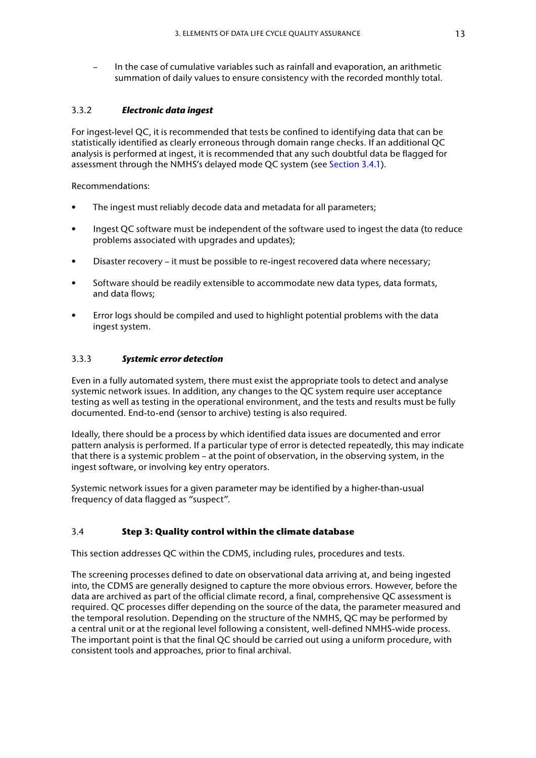<span id="page-22-0"></span>– In the case of cumulative variables such as rainfall and evaporation, an arithmetic summation of daily values to ensure consistency with the recorded monthly total.

## 3.3.2 *Electronic data ingest*

For ingest-level QC, it is recommended that tests be confined to identifying data that can be statistically identified as clearly erroneous through domain range checks. If an additional QC analysis is performed at ingest, it is recommended that any such doubtful data be flagged for assessment through the NMHS's delayed mode QC system (see [Section 3.4.1](#page-23-1)).

Recommendations:

- The ingest must reliably decode data and metadata for all parameters;
- Ingest QC software must be independent of the software used to ingest the data (to reduce problems associated with upgrades and updates);
- Disaster recovery it must be possible to re-ingest recovered data where necessary;
- Software should be readily extensible to accommodate new data types, data formats, and data flows;
- Error logs should be compiled and used to highlight potential problems with the data ingest system.

## 3.3.3 *Systemic error detection*

Even in a fully automated system, there must exist the appropriate tools to detect and analyse systemic network issues. In addition, any changes to the QC system require user acceptance testing as well as testing in the operational environment, and the tests and results must be fully documented. End-to-end (sensor to archive) testing is also required.

Ideally, there should be a process by which identified data issues are documented and error pattern analysis is performed. If a particular type of error is detected repeatedly, this may indicate that there is a systemic problem – at the point of observation, in the observing system, in the ingest software, or involving key entry operators.

Systemic network issues for a given parameter may be identified by a higher-than-usual frequency of data flagged as "suspect".

## 3.4 **Step 3: Quality control within the climate database**

This section addresses QC within the CDMS, including rules, procedures and tests.

The screening processes defined to date on observational data arriving at, and being ingested into, the CDMS are generally designed to capture the more obvious errors. However, before the data are archived as part of the official climate record, a final, comprehensive QC assessment is required. QC processes differ depending on the source of the data, the parameter measured and the temporal resolution. Depending on the structure of the NMHS, QC may be performed by a central unit or at the regional level following a consistent, well-defined NMHS-wide process. The important point is that the final QC should be carried out using a uniform procedure, with consistent tools and approaches, prior to final archival.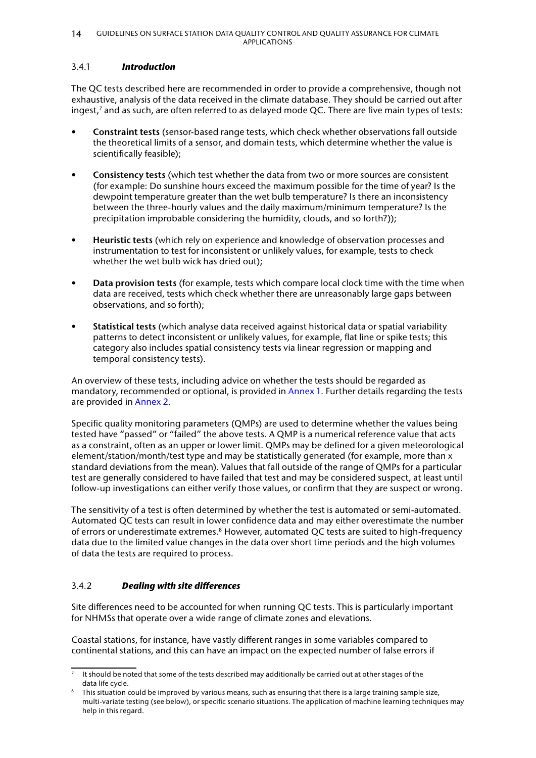### <span id="page-23-1"></span><span id="page-23-0"></span>3.4.1 *Introduction*

The QC tests described here are recommended in order to provide a comprehensive, though not exhaustive, analysis of the data received in the climate database. They should be carried out after ingest,<sup>7</sup> and as such, are often referred to as delayed mode QC. There are five main types of tests:

- **Constraint tests** (sensor-based range tests, which check whether observations fall outside the theoretical limits of a sensor, and domain tests, which determine whether the value is scientifically feasible);
- **Consistency tests** (which test whether the data from two or more sources are consistent (for example: Do sunshine hours exceed the maximum possible for the time of year? Is the dewpoint temperature greater than the wet bulb temperature? Is there an inconsistency between the three-hourly values and the daily maximum/minimum temperature? Is the precipitation improbable considering the humidity, clouds, and so forth?));
- **Heuristic tests** (which rely on experience and knowledge of observation processes and instrumentation to test for inconsistent or unlikely values, for example, tests to check whether the wet bulb wick has dried out);
- **Data provision tests** (for example, tests which compare local clock time with the time when data are received, tests which check whether there are unreasonably large gaps between observations, and so forth);
- **Statistical tests** (which analyse data received against historical data or spatial variability patterns to detect inconsistent or unlikely values, for example, flat line or spike tests; this category also includes spatial consistency tests via linear regression or mapping and temporal consistency tests).

An overview of these tests, including advice on whether the tests should be regarded as mandatory, recommended or optional, is provided in [Annex 1](#page-32-1). Further details regarding the tests are provided in [Annex 2.](#page-37-1)

Specific quality monitoring parameters (QMPs) are used to determine whether the values being tested have "passed" or "failed" the above tests. A QMP is a numerical reference value that acts as a constraint, often as an upper or lower limit. QMPs may be defined for a given meteorological element/station/month/test type and may be statistically generated (for example, more than x standard deviations from the mean). Values that fall outside of the range of QMPs for a particular test are generally considered to have failed that test and may be considered suspect, at least until follow-up investigations can either verify those values, or confirm that they are suspect or wrong.

The sensitivity of a test is often determined by whether the test is automated or semi-automated. Automated QC tests can result in lower confidence data and may either overestimate the number of errors or underestimate extremes.<sup>8</sup> However, automated QC tests are suited to high-frequency data due to the limited value changes in the data over short time periods and the high volumes of data the tests are required to process.

## 3.4.2 *Dealing with site differences*

Site differences need to be accounted for when running QC tests. This is particularly important for NHMSs that operate over a wide range of climate zones and elevations.

Coastal stations, for instance, have vastly different ranges in some variables compared to continental stations, and this can have an impact on the expected number of false errors if

 $<sup>7</sup>$  It should be noted that some of the tests described may additionally be carried out at other stages of the</sup>

data life cycle.<br>This situation could be improved by various means, such as ensuring that there is a large training sample size, multi-variate testing (see below), or specific scenario situations. The application of machine learning techniques may help in this regard.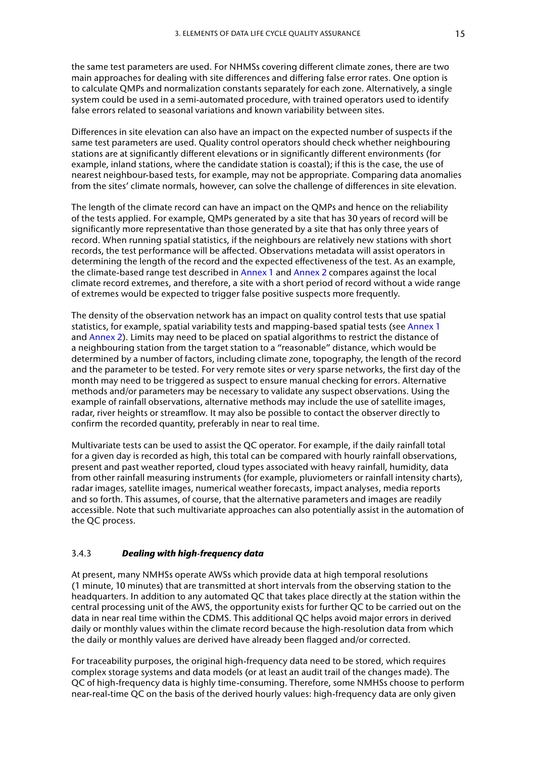<span id="page-24-0"></span>the same test parameters are used. For NHMSs covering different climate zones, there are two main approaches for dealing with site differences and differing false error rates. One option is to calculate QMPs and normalization constants separately for each zone. Alternatively, a single system could be used in a semi-automated procedure, with trained operators used to identify false errors related to seasonal variations and known variability between sites.

Differences in site elevation can also have an impact on the expected number of suspects if the same test parameters are used. Quality control operators should check whether neighbouring stations are at significantly different elevations or in significantly different environments (for example, inland stations, where the candidate station is coastal); if this is the case, the use of nearest neighbour-based tests, for example, may not be appropriate. Comparing data anomalies from the sites' climate normals, however, can solve the challenge of differences in site elevation.

The length of the climate record can have an impact on the QMPs and hence on the reliability of the tests applied. For example, QMPs generated by a site that has 30 years of record will be significantly more representative than those generated by a site that has only three years of record. When running spatial statistics, if the neighbours are relatively new stations with short records, the test performance will be affected. Observations metadata will assist operators in determining the length of the record and the expected effectiveness of the test. As an example, the climate-based range test described in [Annex 1](#page-32-1) and [Annex 2](#page-37-1) compares against the local climate record extremes, and therefore, a site with a short period of record without a wide range of extremes would be expected to trigger false positive suspects more frequently.

The density of the observation network has an impact on quality control tests that use spatial statistics, for example, spatial variability tests and mapping-based spatial tests (see [Annex 1](#page-32-1) and [Annex 2\)](#page-37-1). Limits may need to be placed on spatial algorithms to restrict the distance of a neighbouring station from the target station to a "reasonable" distance, which would be determined by a number of factors, including climate zone, topography, the length of the record and the parameter to be tested. For very remote sites or very sparse networks, the first day of the month may need to be triggered as suspect to ensure manual checking for errors. Alternative methods and/or parameters may be necessary to validate any suspect observations. Using the example of rainfall observations, alternative methods may include the use of satellite images, radar, river heights or streamflow. It may also be possible to contact the observer directly to confirm the recorded quantity, preferably in near to real time.

Multivariate tests can be used to assist the QC operator. For example, if the daily rainfall total for a given day is recorded as high, this total can be compared with hourly rainfall observations, present and past weather reported, cloud types associated with heavy rainfall, humidity, data from other rainfall measuring instruments (for example, pluviometers or rainfall intensity charts), radar images, satellite images, numerical weather forecasts, impact analyses, media reports and so forth. This assumes, of course, that the alternative parameters and images are readily accessible. Note that such multivariate approaches can also potentially assist in the automation of the QC process.

#### 3.4.3 *Dealing with high‑frequency data*

At present, many NMHSs operate AWSs which provide data at high temporal resolutions (1 minute, 10 minutes) that are transmitted at short intervals from the observing station to the headquarters. In addition to any automated QC that takes place directly at the station within the central processing unit of the AWS, the opportunity exists for further QC to be carried out on the data in near real time within the CDMS. This additional QC helps avoid major errors in derived daily or monthly values within the climate record because the high-resolution data from which the daily or monthly values are derived have already been flagged and/or corrected.

For traceability purposes, the original high-frequency data need to be stored, which requires complex storage systems and data models (or at least an audit trail of the changes made). The QC of high-frequency data is highly time-consuming. Therefore, some NMHSs choose to perform near-real-time QC on the basis of the derived hourly values: high-frequency data are only given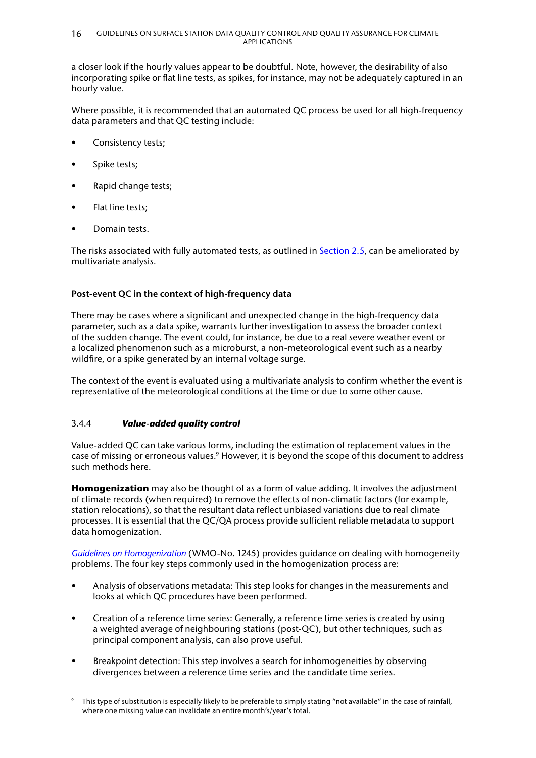<span id="page-25-0"></span>a closer look if the hourly values appear to be doubtful. Note, however, the desirability of also incorporating spike or flat line tests, as spikes, for instance, may not be adequately captured in an hourly value.

Where possible, it is recommended that an automated QC process be used for all high-frequency data parameters and that QC testing include:

- Consistency tests;
- Spike tests;
- Rapid change tests;
- Flat line tests;
- Domain tests.

The risks associated with fully automated tests, as outlined in [Section 2.5,](#page-13-1) can be ameliorated by multivariate analysis.

## **Post‑event QC in the context of high‑frequency data**

There may be cases where a significant and unexpected change in the high-frequency data parameter, such as a data spike, warrants further investigation to assess the broader context of the sudden change. The event could, for instance, be due to a real severe weather event or a localized phenomenon such as a microburst, a non-meteorological event such as a nearby wildfire, or a spike generated by an internal voltage surge.

The context of the event is evaluated using a multivariate analysis to confirm whether the event is representative of the meteorological conditions at the time or due to some other cause.

### 3.4.4 *Value‑added quality control*

Value-added QC can take various forms, including the estimation of replacement values in the case of missing or erroneous values.<sup>9</sup> However, it is beyond the scope of this document to address such methods here.

**Homogenization** may also be thought of as a form of value adding. It involves the adjustment of climate records (when required) to remove the effects of non-climatic factors (for example, station relocations), so that the resultant data reflect unbiased variations due to real climate processes. It is essential that the QC/QA process provide sufficient reliable metadata to support data homogenization.

*[Guidelines on Homogenization](https://library.wmo.int/?lvl=notice_display&id=21756)* (WMO-No. 1245) provides guidance on dealing with homogeneity problems. The four key steps commonly used in the homogenization process are:

- Analysis of observations metadata: This step looks for changes in the measurements and looks at which QC procedures have been performed.
- Creation of a reference time series: Generally, a reference time series is created by using a weighted average of neighbouring stations (post-QC), but other techniques, such as principal component analysis, can also prove useful.
- Breakpoint detection: This step involves a search for inhomogeneities by observing divergences between a reference time series and the candidate time series.

This type of substitution is especially likely to be preferable to simply stating "not available" in the case of rainfall, where one missing value can invalidate an entire month's/year's total.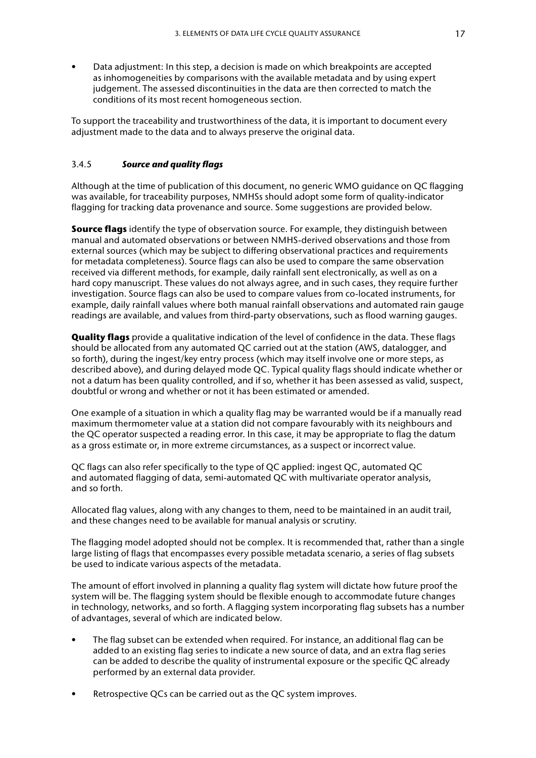<span id="page-26-0"></span>• Data adjustment: In this step, a decision is made on which breakpoints are accepted as inhomogeneities by comparisons with the available metadata and by using expert judgement. The assessed discontinuities in the data are then corrected to match the conditions of its most recent homogeneous section.

To support the traceability and trustworthiness of the data, it is important to document every adjustment made to the data and to always preserve the original data.

#### <span id="page-26-1"></span>3.4.5 *Source and quality flags*

Although at the time of publication of this document, no generic WMO guidance on QC flagging was available, for traceability purposes, NMHSs should adopt some form of quality-indicator flagging for tracking data provenance and source. Some suggestions are provided below.

**Source flags** identify the type of observation source. For example, they distinguish between manual and automated observations or between NMHS-derived observations and those from external sources (which may be subject to differing observational practices and requirements for metadata completeness). Source flags can also be used to compare the same observation received via different methods, for example, daily rainfall sent electronically, as well as on a hard copy manuscript. These values do not always agree, and in such cases, they require further investigation. Source flags can also be used to compare values from co-located instruments, for example, daily rainfall values where both manual rainfall observations and automated rain gauge readings are available, and values from third-party observations, such as flood warning gauges.

**Quality flags** provide a qualitative indication of the level of confidence in the data. These flags should be allocated from any automated QC carried out at the station (AWS, datalogger, and so forth), during the ingest/key entry process (which may itself involve one or more steps, as described above), and during delayed mode QC. Typical quality flags should indicate whether or not a datum has been quality controlled, and if so, whether it has been assessed as valid, suspect, doubtful or wrong and whether or not it has been estimated or amended.

One example of a situation in which a quality flag may be warranted would be if a manually read maximum thermometer value at a station did not compare favourably with its neighbours and the QC operator suspected a reading error. In this case, it may be appropriate to flag the datum as a gross estimate or, in more extreme circumstances, as a suspect or incorrect value.

QC flags can also refer specifically to the type of QC applied: ingest QC, automated QC and automated flagging of data, semi-automated QC with multivariate operator analysis, and so forth.

Allocated flag values, along with any changes to them, need to be maintained in an audit trail, and these changes need to be available for manual analysis or scrutiny.

The flagging model adopted should not be complex. It is recommended that, rather than a single large listing of flags that encompasses every possible metadata scenario, a series of flag subsets be used to indicate various aspects of the metadata.

The amount of effort involved in planning a quality flag system will dictate how future proof the system will be. The flagging system should be flexible enough to accommodate future changes in technology, networks, and so forth. A flagging system incorporating flag subsets has a number of advantages, several of which are indicated below.

- The flag subset can be extended when required. For instance, an additional flag can be added to an existing flag series to indicate a new source of data, and an extra flag series can be added to describe the quality of instrumental exposure or the specific QC already performed by an external data provider.
- Retrospective QCs can be carried out as the QC system improves.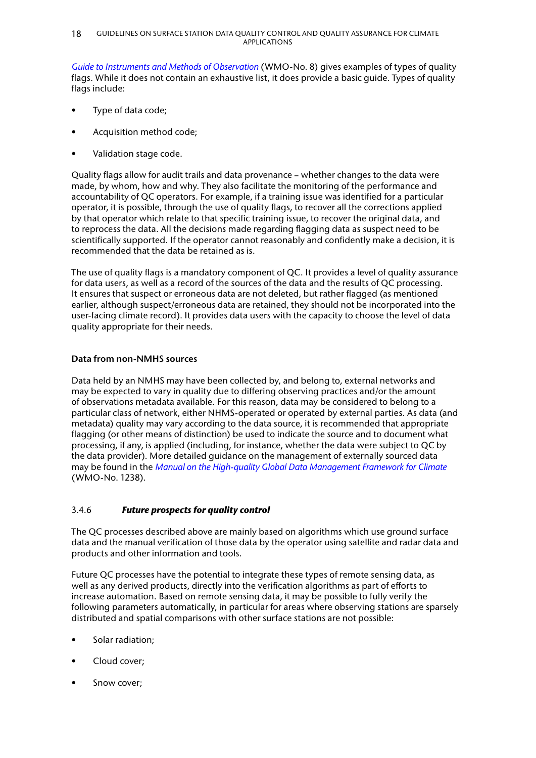<span id="page-27-0"></span>*[Guide to Instruments and Methods of Observation](https://library.wmo.int/index.php?lvl=notice_display&id=12407)* (WMO-No. 8) gives examples of types of quality flags. While it does not contain an exhaustive list, it does provide a basic guide. Types of quality flags include:

- Type of data code;
- Acquisition method code;
- Validation stage code.

Quality flags allow for audit trails and data provenance – whether changes to the data were made, by whom, how and why. They also facilitate the monitoring of the performance and accountability of QC operators. For example, if a training issue was identified for a particular operator, it is possible, through the use of quality flags, to recover all the corrections applied by that operator which relate to that specific training issue, to recover the original data, and to reprocess the data. All the decisions made regarding flagging data as suspect need to be scientifically supported. If the operator cannot reasonably and confidently make a decision, it is recommended that the data be retained as is.

The use of quality flags is a mandatory component of QC. It provides a level of quality assurance for data users, as well as a record of the sources of the data and the results of QC processing. It ensures that suspect or erroneous data are not deleted, but rather flagged (as mentioned earlier, although suspect/erroneous data are retained, they should not be incorporated into the user-facing climate record). It provides data users with the capacity to choose the level of data quality appropriate for their needs.

### **Data from non‑NMHS sources**

Data held by an NMHS may have been collected by, and belong to, external networks and may be expected to vary in quality due to differing observing practices and/or the amount of observations metadata available. For this reason, data may be considered to belong to a particular class of network, either NHMS-operated or operated by external parties. As data (and metadata) quality may vary according to the data source, it is recommended that appropriate flagging (or other means of distinction) be used to indicate the source and to document what processing, if any, is applied (including, for instance, whether the data were subject to QC by the data provider). More detailed guidance on the management of externally sourced data may be found in the *[Manual on the High‑quality Global Data Management Framework for Climate](https://library.wmo.int/index.php?lvl=notice_display&id=21686)* (WMO-No. 1238).

### 3.4.6 *Future prospects for quality control*

The QC processes described above are mainly based on algorithms which use ground surface data and the manual verification of those data by the operator using satellite and radar data and products and other information and tools.

Future QC processes have the potential to integrate these types of remote sensing data, as well as any derived products, directly into the verification algorithms as part of efforts to increase automation. Based on remote sensing data, it may be possible to fully verify the following parameters automatically, in particular for areas where observing stations are sparsely distributed and spatial comparisons with other surface stations are not possible:

- Solar radiation:
- Cloud cover;
- Snow cover;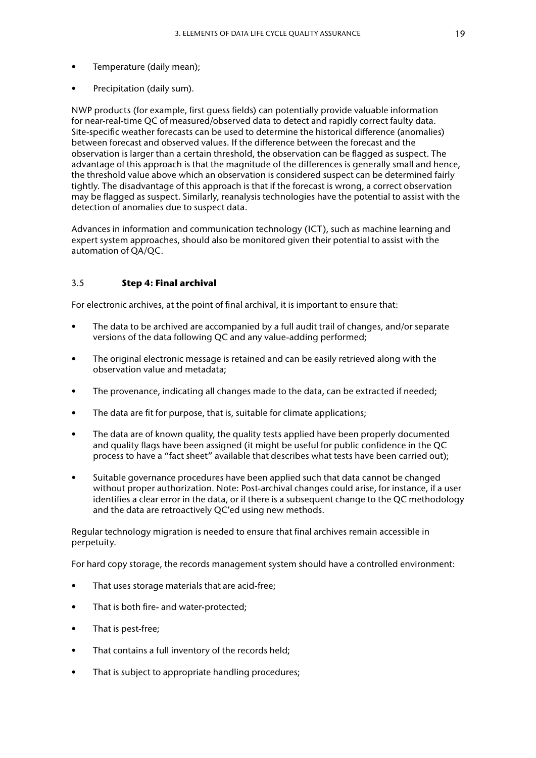- <span id="page-28-0"></span>• Temperature (daily mean);
- Precipitation (daily sum).

NWP products (for example, first guess fields) can potentially provide valuable information for near-real-time QC of measured/observed data to detect and rapidly correct faulty data. Site-specific weather forecasts can be used to determine the historical difference (anomalies) between forecast and observed values. If the difference between the forecast and the observation is larger than a certain threshold, the observation can be flagged as suspect. The advantage of this approach is that the magnitude of the differences is generally small and hence, the threshold value above which an observation is considered suspect can be determined fairly tightly. The disadvantage of this approach is that if the forecast is wrong, a correct observation may be flagged as suspect. Similarly, reanalysis technologies have the potential to assist with the detection of anomalies due to suspect data.

Advances in information and communication technology (ICT), such as machine learning and expert system approaches, should also be monitored given their potential to assist with the automation of QA/QC.

#### 3.5 **Step 4: Final archival**

For electronic archives, at the point of final archival, it is important to ensure that:

- The data to be archived are accompanied by a full audit trail of changes, and/or separate versions of the data following QC and any value-adding performed;
- The original electronic message is retained and can be easily retrieved along with the observation value and metadata;
- The provenance, indicating all changes made to the data, can be extracted if needed;
- The data are fit for purpose, that is, suitable for climate applications;
- The data are of known quality, the quality tests applied have been properly documented and quality flags have been assigned (it might be useful for public confidence in the QC process to have a "fact sheet" available that describes what tests have been carried out);
- Suitable governance procedures have been applied such that data cannot be changed without proper authorization. Note: Post-archival changes could arise, for instance, if a user identifies a clear error in the data, or if there is a subsequent change to the QC methodology and the data are retroactively QC'ed using new methods.

Regular technology migration is needed to ensure that final archives remain accessible in perpetuity.

For hard copy storage, the records management system should have a controlled environment:

- That uses storage materials that are acid-free;
- That is both fire- and water-protected;
- That is pest-free;
- That contains a full inventory of the records held;
- That is subject to appropriate handling procedures;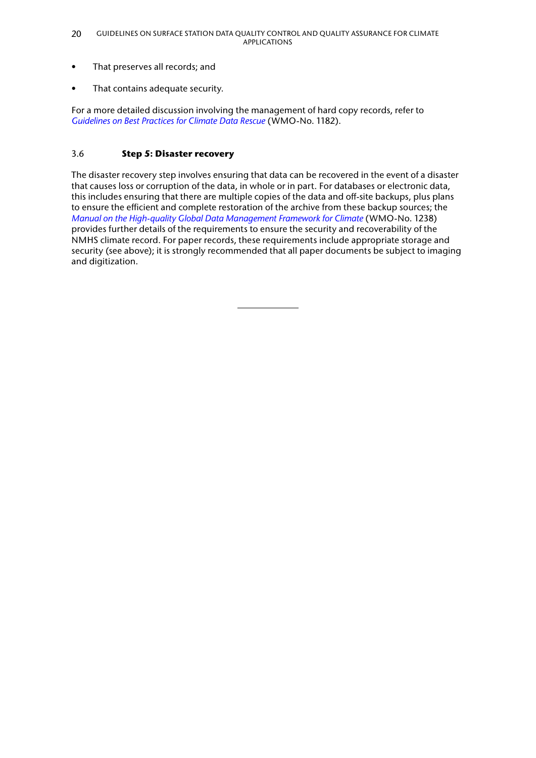- <span id="page-29-0"></span>• That preserves all records; and
- That contains adequate security.

For a more detailed discussion involving the management of hard copy records, refer to *[Guidelines on Best Practices for Climate Data Rescue](https://library.wmo.int/index.php?lvl=notice_display&id=19782)* (WMO-No. 1182).

## 3.6 **Step 5: Disaster recovery**

The disaster recovery step involves ensuring that data can be recovered in the event of a disaster that causes loss or corruption of the data, in whole or in part. For databases or electronic data, this includes ensuring that there are multiple copies of the data and off-site backups, plus plans to ensure the efficient and complete restoration of the archive from these backup sources; the *[Manual on the High‑quality Global Data Management Framework for Climate](https://library.wmo.int/index.php?lvl=notice_display&id=21686)* (WMO-No. 1238) provides further details of the requirements to ensure the security and recoverability of the NMHS climate record. For paper records, these requirements include appropriate storage and security (see above); it is strongly recommended that all paper documents be subject to imaging and digitization.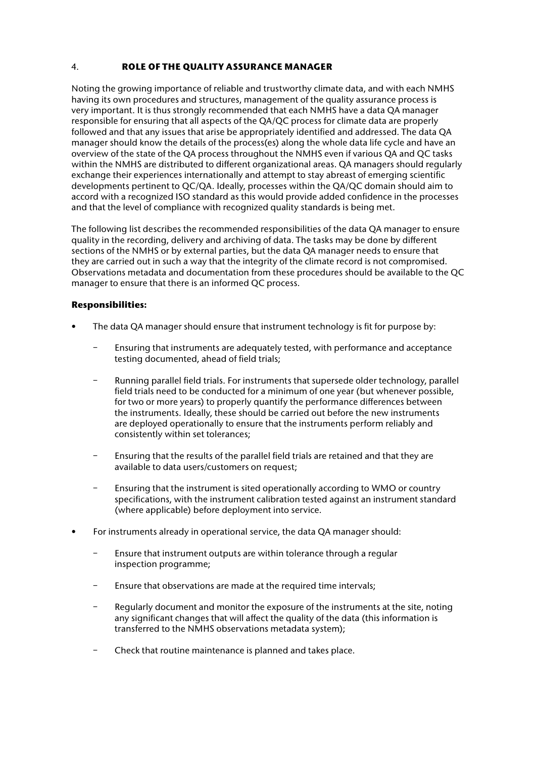## <span id="page-30-0"></span>4. **ROLE OF THE QUALITY ASSURANCE MANAGER**

Noting the growing importance of reliable and trustworthy climate data, and with each NMHS having its own procedures and structures, management of the quality assurance process is very important. It is thus strongly recommended that each NMHS have a data QA manager responsible for ensuring that all aspects of the QA/QC process for climate data are properly followed and that any issues that arise be appropriately identified and addressed. The data QA manager should know the details of the process(es) along the whole data life cycle and have an overview of the state of the QA process throughout the NMHS even if various QA and QC tasks within the NMHS are distributed to different organizational areas. QA managers should regularly exchange their experiences internationally and attempt to stay abreast of emerging scientific developments pertinent to QC/QA. Ideally, processes within the QA/QC domain should aim to accord with a recognized ISO standard as this would provide added confidence in the processes and that the level of compliance with recognized quality standards is being met.

The following list describes the recommended responsibilities of the data QA manager to ensure quality in the recording, delivery and archiving of data. The tasks may be done by different sections of the NMHS or by external parties, but the data QA manager needs to ensure that they are carried out in such a way that the integrity of the climate record is not compromised. Observations metadata and documentation from these procedures should be available to the QC manager to ensure that there is an informed QC process.

## **Responsibilities:**

- The data QA manager should ensure that instrument technology is fit for purpose by:
	- ‒ Ensuring that instruments are adequately tested, with performance and acceptance testing documented, ahead of field trials;
	- ‒ Running parallel field trials. For instruments that supersede older technology, parallel field trials need to be conducted for a minimum of one year (but whenever possible, for two or more years) to properly quantify the performance differences between the instruments. Ideally, these should be carried out before the new instruments are deployed operationally to ensure that the instruments perform reliably and consistently within set tolerances;
	- ‒ Ensuring that the results of the parallel field trials are retained and that they are available to data users/customers on request;
	- ‒ Ensuring that the instrument is sited operationally according to WMO or country specifications, with the instrument calibration tested against an instrument standard (where applicable) before deployment into service.
- For instruments already in operational service, the data QA manager should:
	- ‒ Ensure that instrument outputs are within tolerance through a regular inspection programme;
	- ‒ Ensure that observations are made at the required time intervals;
	- ‒ Regularly document and monitor the exposure of the instruments at the site, noting any significant changes that will affect the quality of the data (this information is transferred to the NMHS observations metadata system);
	- ‒ Check that routine maintenance is planned and takes place.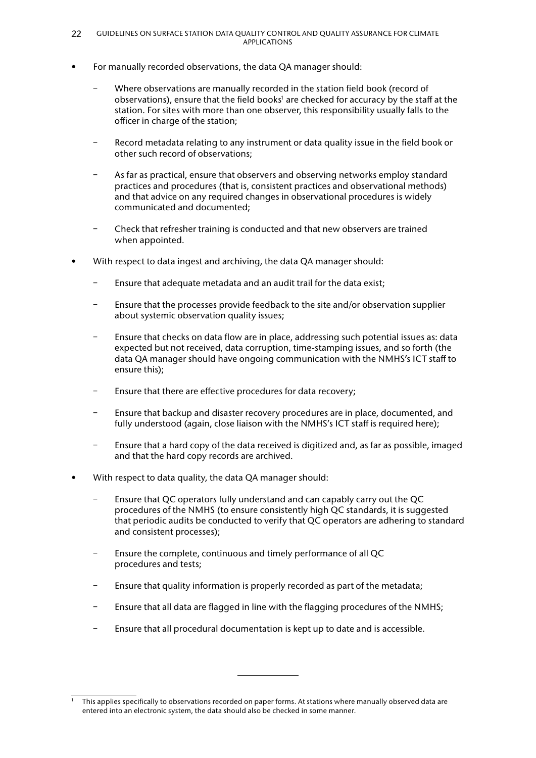- For manually recorded observations, the data QA manager should:
	- ‒ Where observations are manually recorded in the station field book (record of observations), ensure that the field books<sup>1</sup> are checked for accuracy by the staff at the station. For sites with more than one observer, this responsibility usually falls to the officer in charge of the station;
	- Record metadata relating to any instrument or data quality issue in the field book or other such record of observations;
	- As far as practical, ensure that observers and observing networks employ standard practices and procedures (that is, consistent practices and observational methods) and that advice on any required changes in observational procedures is widely communicated and documented;
	- ‒ Check that refresher training is conducted and that new observers are trained when appointed.
- With respect to data ingest and archiving, the data QA manager should:
	- ‒ Ensure that adequate metadata and an audit trail for the data exist;
	- ‒ Ensure that the processes provide feedback to the site and/or observation supplier about systemic observation quality issues;
	- ‒ Ensure that checks on data flow are in place, addressing such potential issues as: data expected but not received, data corruption, time-stamping issues, and so forth (the data QA manager should have ongoing communication with the NMHS's ICT staff to ensure this);
	- ‒ Ensure that there are effective procedures for data recovery;
	- ‒ Ensure that backup and disaster recovery procedures are in place, documented, and fully understood (again, close liaison with the NMHS's ICT staff is required here);
	- ‒ Ensure that a hard copy of the data received is digitized and, as far as possible, imaged and that the hard copy records are archived.
- With respect to data quality, the data QA manager should:
	- ‒ Ensure that QC operators fully understand and can capably carry out the QC procedures of the NMHS (to ensure consistently high QC standards, it is suggested that periodic audits be conducted to verify that QC operators are adhering to standard and consistent processes);
	- ‒ Ensure the complete, continuous and timely performance of all QC procedures and tests;
	- ‒ Ensure that quality information is properly recorded as part of the metadata;
	- ‒ Ensure that all data are flagged in line with the flagging procedures of the NMHS;
	- ‒ Ensure that all procedural documentation is kept up to date and is accessible.

<sup>1</sup> This applies specifically to observations recorded on paper forms. At stations where manually observed data are entered into an electronic system, the data should also be checked in some manner.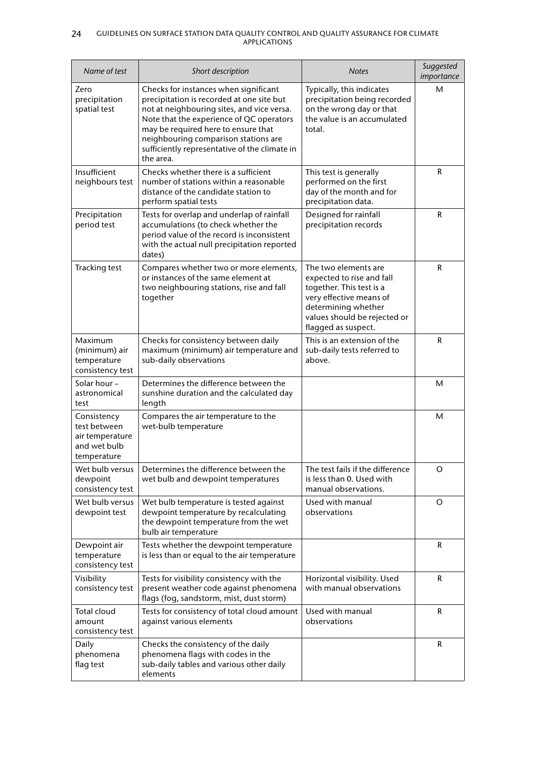#### 24 GUIDELINES ON SURFACE STATION DATA QUALITY CONTROL AND QUALITY ASSURANCE FOR CLIMATE APPLICATIONS

| Name of test                                                                  | Short description                                                                                                                                                                                                                                                                                                         | <b>Notes</b>                                                                                                                                                                           | Suggested<br>importance |
|-------------------------------------------------------------------------------|---------------------------------------------------------------------------------------------------------------------------------------------------------------------------------------------------------------------------------------------------------------------------------------------------------------------------|----------------------------------------------------------------------------------------------------------------------------------------------------------------------------------------|-------------------------|
| Zero<br>precipitation<br>spatial test                                         | Checks for instances when significant<br>precipitation is recorded at one site but<br>not at neighbouring sites, and vice versa.<br>Note that the experience of QC operators<br>may be required here to ensure that<br>neighbouring comparison stations are<br>sufficiently representative of the climate in<br>the area. | Typically, this indicates<br>precipitation being recorded<br>on the wrong day or that<br>the value is an accumulated<br>total.                                                         | М                       |
| Insufficient<br>neighbours test                                               | Checks whether there is a sufficient<br>number of stations within a reasonable<br>distance of the candidate station to<br>perform spatial tests                                                                                                                                                                           | This test is generally<br>performed on the first<br>day of the month and for<br>precipitation data.                                                                                    | R                       |
| Precipitation<br>period test                                                  | Tests for overlap and underlap of rainfall<br>accumulations (to check whether the<br>period value of the record is inconsistent<br>with the actual null precipitation reported<br>dates)                                                                                                                                  | Designed for rainfall<br>precipitation records                                                                                                                                         | R                       |
| <b>Tracking test</b>                                                          | Compares whether two or more elements,<br>or instances of the same element at<br>two neighbouring stations, rise and fall<br>together                                                                                                                                                                                     | The two elements are<br>expected to rise and fall<br>together. This test is a<br>very effective means of<br>determining whether<br>values should be rejected or<br>flagged as suspect. | R                       |
| Maximum<br>(minimum) air<br>temperature<br>consistency test                   | Checks for consistency between daily<br>maximum (minimum) air temperature and<br>sub-daily observations                                                                                                                                                                                                                   | This is an extension of the<br>sub-daily tests referred to<br>above.                                                                                                                   | R                       |
| Solar hour –<br>astronomical<br>test                                          | Determines the difference between the<br>sunshine duration and the calculated day<br>length                                                                                                                                                                                                                               |                                                                                                                                                                                        | М                       |
| Consistency<br>test between<br>air temperature<br>and wet bulb<br>temperature | Compares the air temperature to the<br>wet-bulb temperature                                                                                                                                                                                                                                                               |                                                                                                                                                                                        | М                       |
| Wet bulb versus<br>dewpoint<br>consistency test                               | Determines the difference between the<br>wet bulb and dewpoint temperatures                                                                                                                                                                                                                                               | The test fails if the difference<br>is less than 0. Used with<br>manual observations.                                                                                                  | O                       |
| Wet bulb versus<br>dewpoint test                                              | Wet bulb temperature is tested against<br>dewpoint temperature by recalculating<br>the dewpoint temperature from the wet<br>bulb air temperature                                                                                                                                                                          | Used with manual<br>observations                                                                                                                                                       | O                       |
| Dewpoint air<br>temperature<br>consistency test                               | Tests whether the dewpoint temperature<br>is less than or equal to the air temperature                                                                                                                                                                                                                                    |                                                                                                                                                                                        | R                       |
| Visibility<br>consistency test                                                | Tests for visibility consistency with the<br>present weather code against phenomena<br>flags (fog, sandstorm, mist, dust storm)                                                                                                                                                                                           | Horizontal visibility. Used<br>with manual observations                                                                                                                                | R                       |
| <b>Total cloud</b><br>amount<br>consistency test                              | Tests for consistency of total cloud amount<br>against various elements                                                                                                                                                                                                                                                   | Used with manual<br>observations                                                                                                                                                       | R                       |
| Daily<br>phenomena<br>flag test                                               | Checks the consistency of the daily<br>phenomena flags with codes in the<br>sub-daily tables and various other daily<br>elements                                                                                                                                                                                          |                                                                                                                                                                                        | R                       |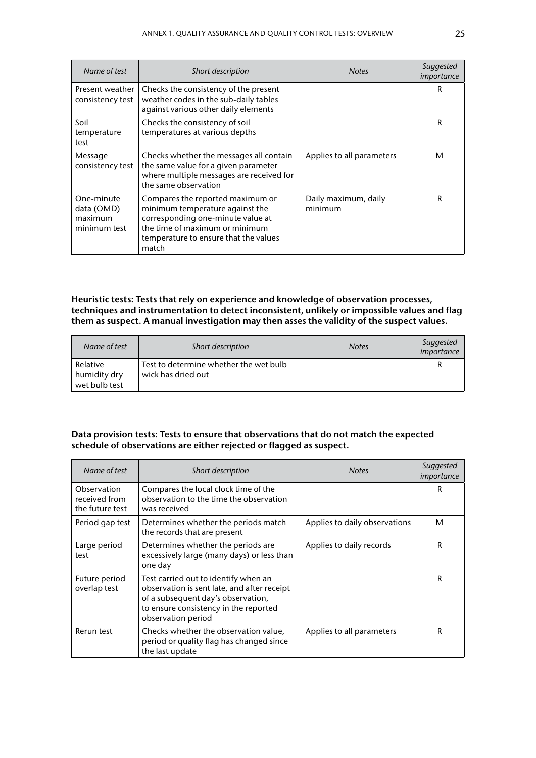| Name of test                                        | Short description                                                                                                                                                                            | <b>Notes</b>                    | Suggested<br>importance |
|-----------------------------------------------------|----------------------------------------------------------------------------------------------------------------------------------------------------------------------------------------------|---------------------------------|-------------------------|
| Present weather<br>consistency test                 | Checks the consistency of the present<br>weather codes in the sub-daily tables<br>against various other daily elements                                                                       |                                 | R                       |
| Soil<br>temperature<br>test                         | Checks the consistency of soil<br>temperatures at various depths                                                                                                                             |                                 | R                       |
| Message<br>consistency test                         | Checks whether the messages all contain<br>the same value for a given parameter<br>where multiple messages are received for<br>the same observation                                          | Applies to all parameters       | м                       |
| One-minute<br>data (OMD)<br>maximum<br>minimum test | Compares the reported maximum or<br>minimum temperature against the<br>corresponding one-minute value at<br>the time of maximum or minimum<br>temperature to ensure that the values<br>match | Daily maximum, daily<br>minimum | R                       |

**Heuristic tests: Tests that rely on experience and knowledge of observation processes, techniques and instrumentation to detect inconsistent, unlikely or impossible values and flag them as suspect. A manual investigation may then asses the validity of the suspect values.**

| Name of test                              | Short description                                            | <b>Notes</b> | Suggested<br>importance |
|-------------------------------------------|--------------------------------------------------------------|--------------|-------------------------|
| Relative<br>humidity dry<br>wet bulb test | Test to determine whether the wet bulb<br>wick has dried out |              | R                       |

## **Data provision tests: Tests to ensure that observations that do not match the expected schedule of observations are either rejected or flagged as suspect.**

| Name of test                                    | Short description                                                                                                                                                                        | <b>Notes</b>                  | Suggested<br>importance |
|-------------------------------------------------|------------------------------------------------------------------------------------------------------------------------------------------------------------------------------------------|-------------------------------|-------------------------|
| Observation<br>received from<br>the future test | Compares the local clock time of the<br>observation to the time the observation<br>was received                                                                                          |                               | R                       |
| Period gap test                                 | Determines whether the periods match<br>the records that are present                                                                                                                     | Applies to daily observations | М                       |
| Large period<br>test                            | Determines whether the periods are<br>excessively large (many days) or less than<br>one day                                                                                              | Applies to daily records      | R                       |
| Future period<br>overlap test                   | Test carried out to identify when an<br>observation is sent late, and after receipt<br>of a subsequent day's observation,<br>to ensure consistency in the reported<br>observation period |                               | R                       |
| Rerun test                                      | Checks whether the observation value,<br>period or quality flag has changed since<br>the last update                                                                                     | Applies to all parameters     | R                       |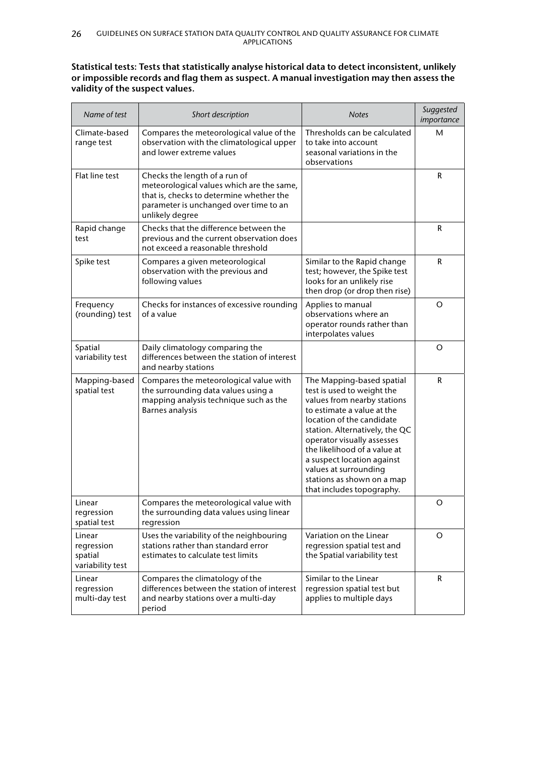## **Statistical tests: Tests that statistically analyse historical data to detect inconsistent, unlikely or impossible records and flag them as suspect. A manual investigation may then assess the validity of the suspect values.**

| Name of test                                        | Short description                                                                                                                                                                   | <b>Notes</b>                                                                                                                                                                                                                                                                                                                                                        | Suggested<br>importance |
|-----------------------------------------------------|-------------------------------------------------------------------------------------------------------------------------------------------------------------------------------------|---------------------------------------------------------------------------------------------------------------------------------------------------------------------------------------------------------------------------------------------------------------------------------------------------------------------------------------------------------------------|-------------------------|
| Climate-based<br>range test                         | Compares the meteorological value of the<br>observation with the climatological upper<br>and lower extreme values                                                                   | Thresholds can be calculated<br>to take into account<br>seasonal variations in the<br>observations                                                                                                                                                                                                                                                                  | М                       |
| Flat line test                                      | Checks the length of a run of<br>meteorological values which are the same,<br>that is, checks to determine whether the<br>parameter is unchanged over time to an<br>unlikely degree |                                                                                                                                                                                                                                                                                                                                                                     | R                       |
| Rapid change<br>test                                | Checks that the difference between the<br>previous and the current observation does<br>not exceed a reasonable threshold                                                            |                                                                                                                                                                                                                                                                                                                                                                     | R                       |
| Spike test                                          | Compares a given meteorological<br>observation with the previous and<br>following values                                                                                            | Similar to the Rapid change<br>test; however, the Spike test<br>looks for an unlikely rise<br>then drop (or drop then rise)                                                                                                                                                                                                                                         | R                       |
| Frequency<br>(rounding) test                        | Checks for instances of excessive rounding<br>of a value                                                                                                                            | Applies to manual<br>observations where an<br>operator rounds rather than<br>interpolates values                                                                                                                                                                                                                                                                    | O                       |
| Spatial<br>variability test                         | Daily climatology comparing the<br>differences between the station of interest<br>and nearby stations                                                                               |                                                                                                                                                                                                                                                                                                                                                                     | O                       |
| Mapping-based<br>spatial test                       | Compares the meteorological value with<br>the surrounding data values using a<br>mapping analysis technique such as the<br><b>Barnes analysis</b>                                   | The Mapping-based spatial<br>test is used to weight the<br>values from nearby stations<br>to estimate a value at the<br>location of the candidate<br>station. Alternatively, the QC<br>operator visually assesses<br>the likelihood of a value at<br>a suspect location against<br>values at surrounding<br>stations as shown on a map<br>that includes topography. | R                       |
| Linear<br>regression<br>spatial test                | Compares the meteorological value with<br>the surrounding data values using linear<br>regression                                                                                    |                                                                                                                                                                                                                                                                                                                                                                     | O                       |
| Linear<br>regression<br>spatial<br>variability test | Uses the variability of the neighbouring<br>stations rather than standard error<br>estimates to calculate test limits                                                               | Variation on the Linear<br>regression spatial test and<br>the Spatial variability test                                                                                                                                                                                                                                                                              | O                       |
| Linear<br>regression<br>multi-day test              | Compares the climatology of the<br>differences between the station of interest<br>and nearby stations over a multi-day<br>period                                                    | Similar to the Linear<br>regression spatial test but<br>applies to multiple days                                                                                                                                                                                                                                                                                    | R.                      |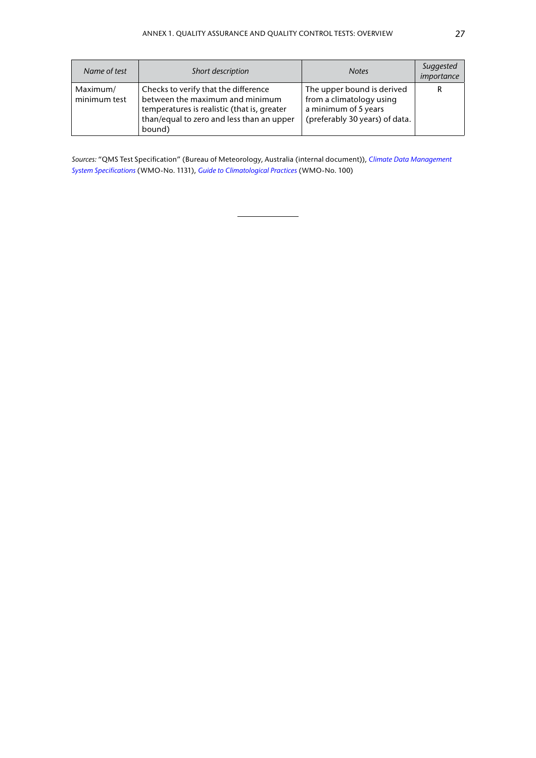| Name of test             | Short description                                                                                                                                                             | <b>Notes</b>                                                                                                     | Suggested<br>importance |
|--------------------------|-------------------------------------------------------------------------------------------------------------------------------------------------------------------------------|------------------------------------------------------------------------------------------------------------------|-------------------------|
| Maximum/<br>minimum test | Checks to verify that the difference<br>between the maximum and minimum<br>temperatures is realistic (that is, greater<br>than/equal to zero and less than an upper<br>bound) | The upper bound is derived<br>from a climatology using<br>a minimum of 5 years<br>(preferably 30 years) of data. | R                       |

*Sources:* "QMS Test Specification" (Bureau of Meteorology, Australia (internal document)), *[Climate Data Management](https://library.wmo.int/index.php?lvl=notice_display&id=16300)  [System Specifications](https://library.wmo.int/index.php?lvl=notice_display&id=16300)* (WMO-No. 1131), *[Guide to Climatological Practices](https://library.wmo.int/index.php?lvl=notice_display&id=5668)* (WMO-No. 100)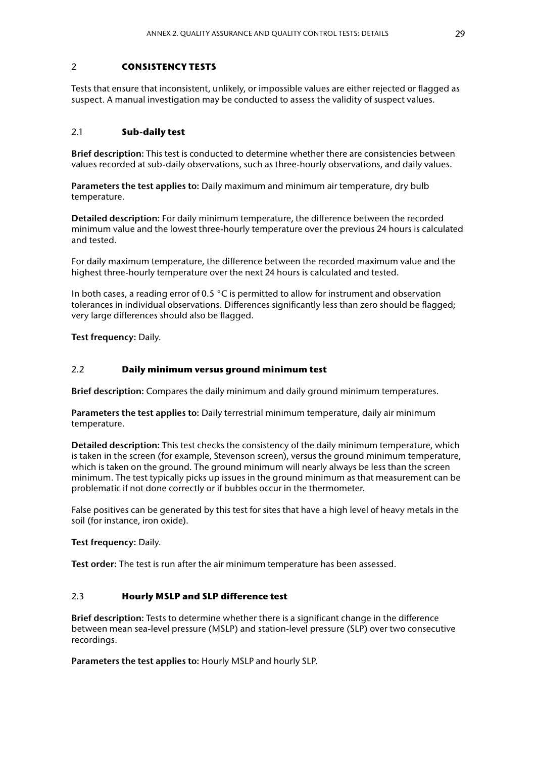#### 2 **CONSISTENCY TESTS**

Tests that ensure that inconsistent, unlikely, or impossible values are either rejected or flagged as suspect. A manual investigation may be conducted to assess the validity of suspect values.

#### 2.1 **Sub‑daily test**

**Brief description:** This test is conducted to determine whether there are consistencies between values recorded at sub-daily observations, such as three-hourly observations, and daily values.

**Parameters the test applies to:** Daily maximum and minimum air temperature, dry bulb temperature.

**Detailed description:** For daily minimum temperature, the difference between the recorded minimum value and the lowest three-hourly temperature over the previous 24 hours is calculated and tested.

For daily maximum temperature, the difference between the recorded maximum value and the highest three-hourly temperature over the next 24 hours is calculated and tested.

In both cases, a reading error of 0.5 °C is permitted to allow for instrument and observation tolerances in individual observations. Differences significantly less than zero should be flagged; very large differences should also be flagged.

**Test frequency:** Daily.

#### 2.2 **Daily minimum versus ground minimum test**

**Brief description:** Compares the daily minimum and daily ground minimum temperatures.

**Parameters the test applies to:** Daily terrestrial minimum temperature, daily air minimum temperature.

**Detailed description:** This test checks the consistency of the daily minimum temperature, which is taken in the screen (for example, Stevenson screen), versus the ground minimum temperature, which is taken on the ground. The ground minimum will nearly always be less than the screen minimum. The test typically picks up issues in the ground minimum as that measurement can be problematic if not done correctly or if bubbles occur in the thermometer.

False positives can be generated by this test for sites that have a high level of heavy metals in the soil (for instance, iron oxide).

**Test frequency:** Daily.

**Test order:** The test is run after the air minimum temperature has been assessed.

## 2.3 **Hourly MSLP and SLP difference test**

**Brief description:** Tests to determine whether there is a significant change in the difference between mean sea-level pressure (MSLP) and station-level pressure (SLP) over two consecutive recordings.

**Parameters the test applies to:** Hourly MSLP and hourly SLP.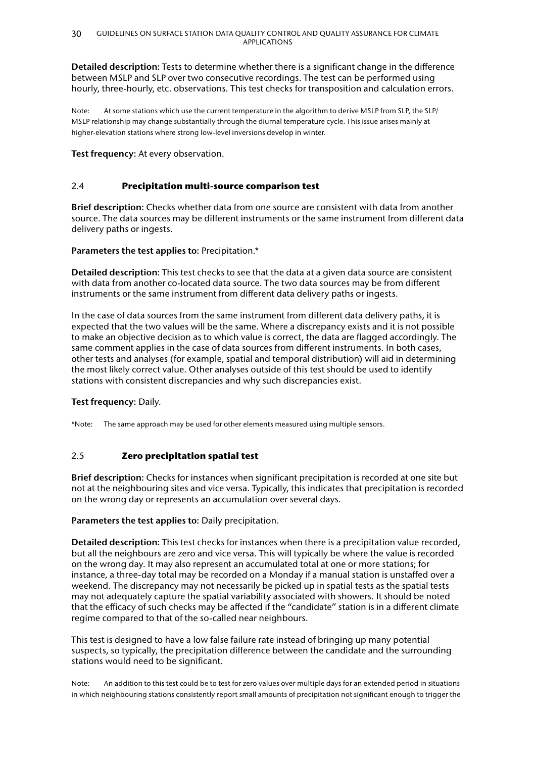**Detailed description:** Tests to determine whether there is a significant change in the difference between MSLP and SLP over two consecutive recordings. The test can be performed using hourly, three-hourly, etc. observations. This test checks for transposition and calculation errors.

Note: At some stations which use the current temperature in the algorithm to derive MSLP from SLP, the SLP/ MSLP relationship may change substantially through the diurnal temperature cycle. This issue arises mainly at higher-elevation stations where strong low-level inversions develop in winter.

**Test frequency:** At every observation.

## 2.4 **Precipitation multi-source comparison test**

**Brief description:** Checks whether data from one source are consistent with data from another source. The data sources may be different instruments or the same instrument from different data delivery paths or ingests.

## **Parameters the test applies to:** Precipitation.\*

**Detailed description:** This test checks to see that the data at a given data source are consistent with data from another co-located data source. The two data sources may be from different instruments or the same instrument from different data delivery paths or ingests.

In the case of data sources from the same instrument from different data delivery paths, it is expected that the two values will be the same. Where a discrepancy exists and it is not possible to make an objective decision as to which value is correct, the data are flagged accordingly. The same comment applies in the case of data sources from different instruments. In both cases, other tests and analyses (for example, spatial and temporal distribution) will aid in determining the most likely correct value. Other analyses outside of this test should be used to identify stations with consistent discrepancies and why such discrepancies exist.

### **Test frequency:** Daily.

\*Note: The same approach may be used for other elements measured using multiple sensors.

## 2.5 **Zero precipitation spatial test**

**Brief description:** Checks for instances when significant precipitation is recorded at one site but not at the neighbouring sites and vice versa. Typically, this indicates that precipitation is recorded on the wrong day or represents an accumulation over several days.

### **Parameters the test applies to:** Daily precipitation.

**Detailed description:** This test checks for instances when there is a precipitation value recorded, but all the neighbours are zero and vice versa. This will typically be where the value is recorded on the wrong day. It may also represent an accumulated total at one or more stations; for instance, a three-day total may be recorded on a Monday if a manual station is unstaffed over a weekend. The discrepancy may not necessarily be picked up in spatial tests as the spatial tests may not adequately capture the spatial variability associated with showers. It should be noted that the efficacy of such checks may be affected if the "candidate" station is in a different climate regime compared to that of the so-called near neighbours.

This test is designed to have a low false failure rate instead of bringing up many potential suspects, so typically, the precipitation difference between the candidate and the surrounding stations would need to be significant.

Note: An addition to this test could be to test for zero values over multiple days for an extended period in situations in which neighbouring stations consistently report small amounts of precipitation not significant enough to trigger the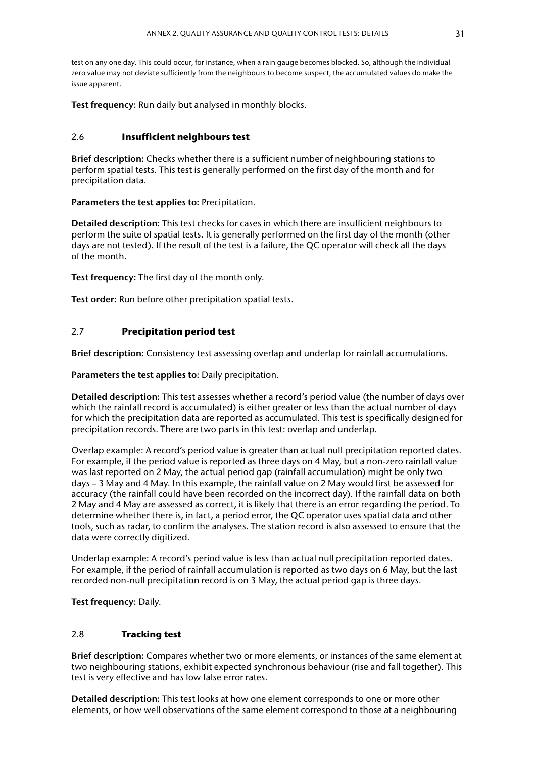test on any one day. This could occur, for instance, when a rain gauge becomes blocked. So, although the individual zero value may not deviate sufficiently from the neighbours to become suspect, the accumulated values do make the issue apparent.

**Test frequency:** Run daily but analysed in monthly blocks.

#### 2.6 **Insufficient neighbours test**

**Brief description:** Checks whether there is a sufficient number of neighbouring stations to perform spatial tests. This test is generally performed on the first day of the month and for precipitation data.

**Parameters the test applies to:** Precipitation.

**Detailed description:** This test checks for cases in which there are insufficient neighbours to perform the suite of spatial tests. It is generally performed on the first day of the month (other days are not tested). If the result of the test is a failure, the QC operator will check all the days of the month.

**Test frequency:** The first day of the month only.

**Test order:** Run before other precipitation spatial tests.

#### 2.7 **Precipitation period test**

**Brief description:** Consistency test assessing overlap and underlap for rainfall accumulations.

**Parameters the test applies to:** Daily precipitation.

**Detailed description:** This test assesses whether a record's period value (the number of days over which the rainfall record is accumulated) is either greater or less than the actual number of days for which the precipitation data are reported as accumulated. This test is specifically designed for precipitation records. There are two parts in this test: overlap and underlap.

Overlap example: A record's period value is greater than actual null precipitation reported dates. For example, if the period value is reported as three days on 4 May, but a non-zero rainfall value was last reported on 2 May, the actual period gap (rainfall accumulation) might be only two days – 3 May and 4 May. In this example, the rainfall value on 2 May would first be assessed for accuracy (the rainfall could have been recorded on the incorrect day). If the rainfall data on both 2 May and 4 May are assessed as correct, it is likely that there is an error regarding the period. To determine whether there is, in fact, a period error, the QC operator uses spatial data and other tools, such as radar, to confirm the analyses. The station record is also assessed to ensure that the data were correctly digitized.

Underlap example: A record's period value is less than actual null precipitation reported dates. For example, if the period of rainfall accumulation is reported as two days on 6 May, but the last recorded non-null precipitation record is on 3 May, the actual period gap is three days.

**Test frequency:** Daily.

### 2.8 **Tracking test**

**Brief description:** Compares whether two or more elements, or instances of the same element at two neighbouring stations, exhibit expected synchronous behaviour (rise and fall together). This test is very effective and has low false error rates.

**Detailed description:** This test looks at how one element corresponds to one or more other elements, or how well observations of the same element correspond to those at a neighbouring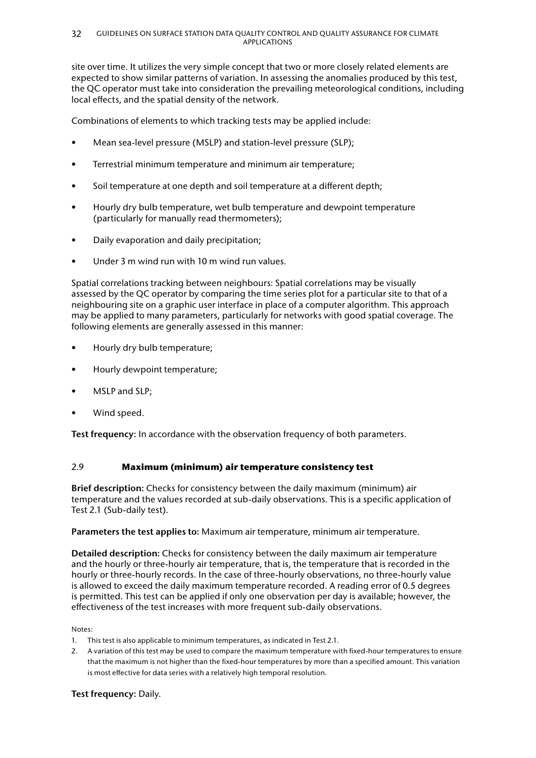site over time. It utilizes the very simple concept that two or more closely related elements are expected to show similar patterns of variation. In assessing the anomalies produced by this test, the QC operator must take into consideration the prevailing meteorological conditions, including local effects, and the spatial density of the network.

Combinations of elements to which tracking tests may be applied include:

- Mean sea-level pressure (MSLP) and station-level pressure (SLP);
- Terrestrial minimum temperature and minimum air temperature;
- Soil temperature at one depth and soil temperature at a different depth;
- Hourly dry bulb temperature, wet bulb temperature and dewpoint temperature (particularly for manually read thermometers);
- Daily evaporation and daily precipitation;
- Under 3 m wind run with 10 m wind run values.

Spatial correlations tracking between neighbours: Spatial correlations may be visually assessed by the QC operator by comparing the time series plot for a particular site to that of a neighbouring site on a graphic user interface in place of a computer algorithm. This approach may be applied to many parameters, particularly for networks with good spatial coverage. The following elements are generally assessed in this manner:

- Hourly dry bulb temperature;
- Hourly dewpoint temperature;
- MSLP and SLP:
- Wind speed.

**Test frequency:** In accordance with the observation frequency of both parameters.

### 2.9 **Maximum (minimum) air temperature consistency test**

**Brief description:** Checks for consistency between the daily maximum (minimum) air temperature and the values recorded at sub-daily observations. This is a specific application of Test 2.1 (Sub-daily test).

### **Parameters the test applies to:** Maximum air temperature, minimum air temperature.

**Detailed description:** Checks for consistency between the daily maximum air temperature and the hourly or three-hourly air temperature, that is, the temperature that is recorded in the hourly or three-hourly records. In the case of three-hourly observations, no three-hourly value is allowed to exceed the daily maximum temperature recorded. A reading error of 0.5 degrees is permitted. This test can be applied if only one observation per day is available; however, the effectiveness of the test increases with more frequent sub-daily observations.

Notes:

- 1. This test is also applicable to minimum temperatures, as indicated in Test 2.1.
- 2. A variation of this test may be used to compare the maximum temperature with fixed-hour temperatures to ensure that the maximum is not higher than the fixed-hour temperatures by more than a specified amount. This variation is most effective for data series with a relatively high temporal resolution.

**Test frequency:** Daily.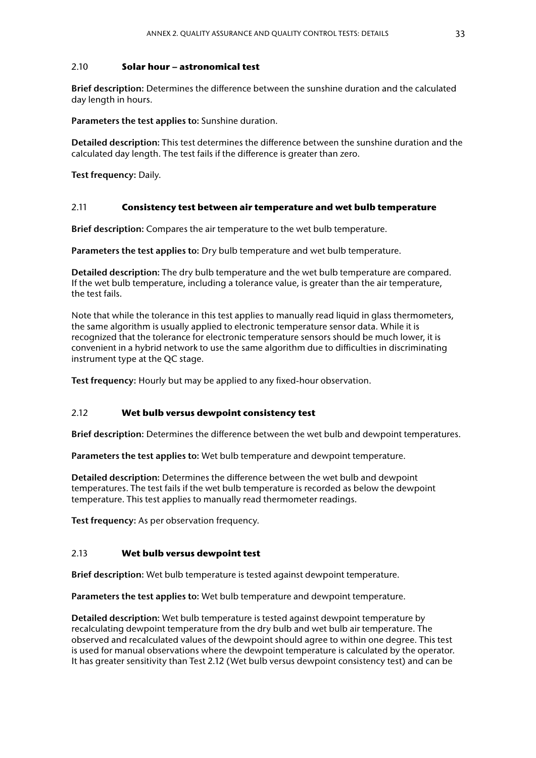#### 2.10 **Solar hour – astronomical test**

**Brief description:** Determines the difference between the sunshine duration and the calculated day length in hours.

**Parameters the test applies to:** Sunshine duration.

**Detailed description:** This test determines the difference between the sunshine duration and the calculated day length. The test fails if the difference is greater than zero.

**Test frequency:** Daily.

#### 2.11 **Consistency test between air temperature and wet bulb temperature**

**Brief description:** Compares the air temperature to the wet bulb temperature.

**Parameters the test applies to:** Dry bulb temperature and wet bulb temperature.

**Detailed description:** The dry bulb temperature and the wet bulb temperature are compared. If the wet bulb temperature, including a tolerance value, is greater than the air temperature, the test fails.

Note that while the tolerance in this test applies to manually read liquid in glass thermometers, the same algorithm is usually applied to electronic temperature sensor data. While it is recognized that the tolerance for electronic temperature sensors should be much lower, it is convenient in a hybrid network to use the same algorithm due to difficulties in discriminating instrument type at the QC stage.

**Test frequency:** Hourly but may be applied to any fixed-hour observation.

### 2.12 **Wet bulb versus dewpoint consistency test**

**Brief description:** Determines the difference between the wet bulb and dewpoint temperatures.

**Parameters the test applies to:** Wet bulb temperature and dewpoint temperature.

**Detailed description:** Determines the difference between the wet bulb and dewpoint temperatures. The test fails if the wet bulb temperature is recorded as below the dewpoint temperature. This test applies to manually read thermometer readings.

**Test frequency:** As per observation frequency.

### 2.13 **Wet bulb versus dewpoint test**

**Brief description:** Wet bulb temperature is tested against dewpoint temperature.

**Parameters the test applies to:** Wet bulb temperature and dewpoint temperature.

**Detailed description:** Wet bulb temperature is tested against dewpoint temperature by recalculating dewpoint temperature from the dry bulb and wet bulb air temperature. The observed and recalculated values of the dewpoint should agree to within one degree. This test is used for manual observations where the dewpoint temperature is calculated by the operator. It has greater sensitivity than Test 2.12 (Wet bulb versus dewpoint consistency test) and can be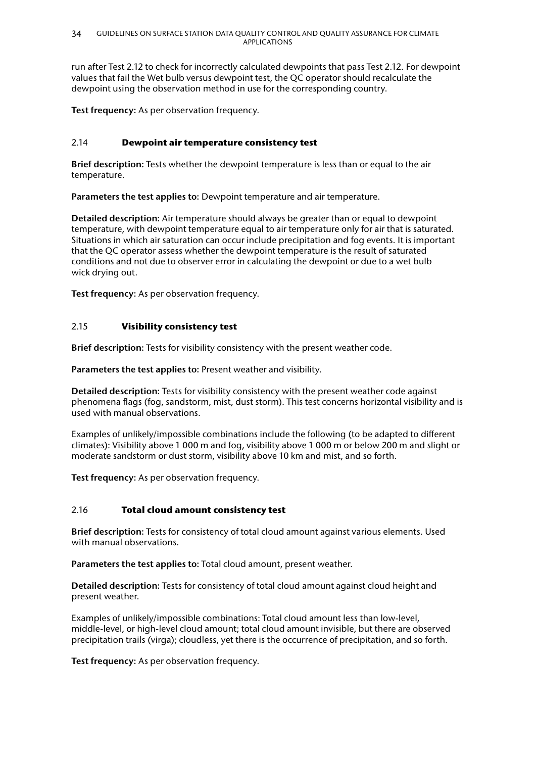run after Test 2.12 to check for incorrectly calculated dewpoints that pass Test 2.12. For dewpoint values that fail the Wet bulb versus dewpoint test, the QC operator should recalculate the dewpoint using the observation method in use for the corresponding country.

**Test frequency:** As per observation frequency.

## 2.14 **Dewpoint air temperature consistency test**

**Brief description:** Tests whether the dewpoint temperature is less than or equal to the air temperature.

**Parameters the test applies to:** Dewpoint temperature and air temperature.

**Detailed description:** Air temperature should always be greater than or equal to dewpoint temperature, with dewpoint temperature equal to air temperature only for air that is saturated. Situations in which air saturation can occur include precipitation and fog events. It is important that the QC operator assess whether the dewpoint temperature is the result of saturated conditions and not due to observer error in calculating the dewpoint or due to a wet bulb wick drying out.

**Test frequency:** As per observation frequency.

## 2.15 **Visibility consistency test**

**Brief description:** Tests for visibility consistency with the present weather code.

**Parameters the test applies to:** Present weather and visibility.

**Detailed description:** Tests for visibility consistency with the present weather code against phenomena flags (fog, sandstorm, mist, dust storm). This test concerns horizontal visibility and is used with manual observations.

Examples of unlikely/impossible combinations include the following (to be adapted to different climates): Visibility above 1 000 m and fog, visibility above 1 000 m or below 200 m and slight or moderate sandstorm or dust storm, visibility above 10 km and mist, and so forth.

**Test frequency:** As per observation frequency.

## 2.16 **Total cloud amount consistency test**

**Brief description:** Tests for consistency of total cloud amount against various elements. Used with manual observations.

**Parameters the test applies to:** Total cloud amount, present weather.

**Detailed description:** Tests for consistency of total cloud amount against cloud height and present weather.

Examples of unlikely/impossible combinations: Total cloud amount less than low-level, middle-level, or high-level cloud amount; total cloud amount invisible, but there are observed precipitation trails (virga); cloudless, yet there is the occurrence of precipitation, and so forth.

**Test frequency:** As per observation frequency.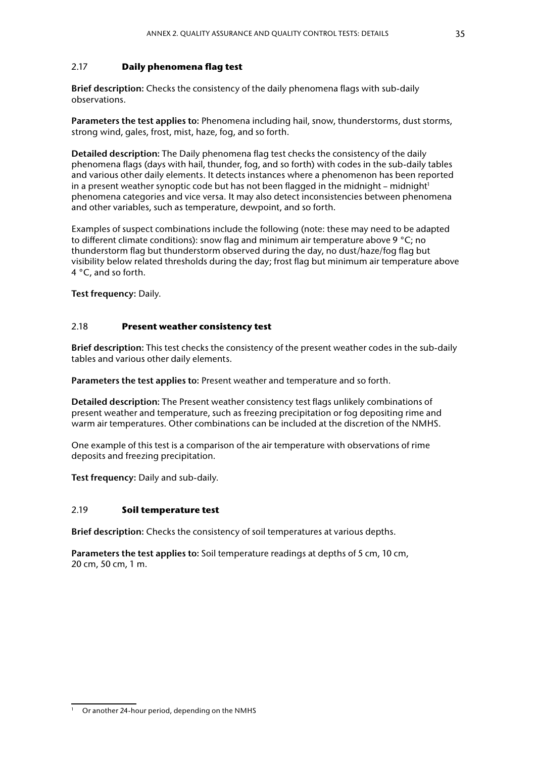## 2.17 **Daily phenomena flag test**

**Brief description:** Checks the consistency of the daily phenomena flags with sub-daily observations.

**Parameters the test applies to:** Phenomena including hail, snow, thunderstorms, dust storms, strong wind, gales, frost, mist, haze, fog, and so forth.

**Detailed description:** The Daily phenomena flag test checks the consistency of the daily phenomena flags (days with hail, thunder, fog, and so forth) with codes in the sub-daily tables and various other daily elements. It detects instances where a phenomenon has been reported in a present weather synoptic code but has not been flagged in the midnight – midnight<sup>1</sup> phenomena categories and vice versa. It may also detect inconsistencies between phenomena and other variables, such as temperature, dewpoint, and so forth.

Examples of suspect combinations include the following (note: these may need to be adapted to different climate conditions): snow flag and minimum air temperature above 9 °C; no thunderstorm flag but thunderstorm observed during the day, no dust/haze/fog flag but visibility below related thresholds during the day; frost flag but minimum air temperature above 4 °C, and so forth.

**Test frequency:** Daily.

## 2.18 **Present weather consistency test**

**Brief description:** This test checks the consistency of the present weather codes in the sub-daily tables and various other daily elements.

**Parameters the test applies to:** Present weather and temperature and so forth.

**Detailed description:** The Present weather consistency test flags unlikely combinations of present weather and temperature, such as freezing precipitation or fog depositing rime and warm air temperatures. Other combinations can be included at the discretion of the NMHS.

One example of this test is a comparison of the air temperature with observations of rime deposits and freezing precipitation.

**Test frequency:** Daily and sub-daily.

## 2.19 **Soil temperature test**

**Brief description:** Checks the consistency of soil temperatures at various depths.

**Parameters the test applies to:** Soil temperature readings at depths of 5 cm, 10 cm, 20 cm, 50 cm, 1 m.

<sup>&</sup>lt;sup>1</sup> Or another 24-hour period, depending on the NMHS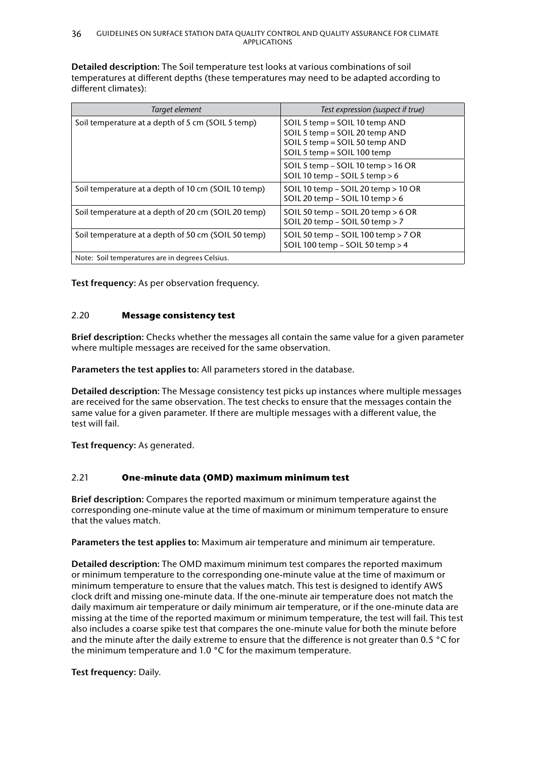**Detailed description:** The Soil temperature test looks at various combinations of soil temperatures at different depths (these temperatures may need to be adapted according to different climates):

| Target element                                      | Test expression (suspect if true)                                                                                                 |
|-----------------------------------------------------|-----------------------------------------------------------------------------------------------------------------------------------|
| Soil temperature at a depth of 5 cm (SOIL 5 temp)   | SOIL 5 temp = SOIL 10 temp AND<br>SOIL 5 temp = SOIL 20 temp AND<br>SOIL 5 temp = SOIL 50 temp AND<br>SOIL 5 temp = SOIL 100 temp |
|                                                     | SOIL 5 temp $-$ SOIL 10 temp $>$ 16 OR<br>SOIL 10 temp - SOIL 5 temp > 6                                                          |
| Soil temperature at a depth of 10 cm (SOIL 10 temp) | SOIL 10 temp - SOIL 20 temp > 10 OR<br>SOIL 20 temp - SOIL 10 temp > 6                                                            |
| Soil temperature at a depth of 20 cm (SOIL 20 temp) | SOIL 50 temp $-$ SOIL 20 temp $> 6$ OR<br>SOIL 20 temp - SOIL 50 temp > 7                                                         |
| Soil temperature at a depth of 50 cm (SOIL 50 temp) | SOIL 50 temp $-$ SOIL 100 temp $>$ 7 OR<br>SOIL 100 temp - SOIL 50 temp > 4                                                       |
| Note: Soil temperatures are in degrees Celsius.     |                                                                                                                                   |

**Test frequency:** As per observation frequency.

## 2.20 **Message consistency test**

**Brief description:** Checks whether the messages all contain the same value for a given parameter where multiple messages are received for the same observation.

**Parameters the test applies to:** All parameters stored in the database.

**Detailed description:** The Message consistency test picks up instances where multiple messages are received for the same observation. The test checks to ensure that the messages contain the same value for a given parameter. If there are multiple messages with a different value, the test will fail.

**Test frequency:** As generated.

### 2.21 **One‑minute data (OMD) maximum minimum test**

**Brief description:** Compares the reported maximum or minimum temperature against the corresponding one-minute value at the time of maximum or minimum temperature to ensure that the values match.

**Parameters the test applies to:** Maximum air temperature and minimum air temperature.

**Detailed description:** The OMD maximum minimum test compares the reported maximum or minimum temperature to the corresponding one-minute value at the time of maximum or minimum temperature to ensure that the values match. This test is designed to identify AWS clock drift and missing one-minute data. If the one-minute air temperature does not match the daily maximum air temperature or daily minimum air temperature, or if the one-minute data are missing at the time of the reported maximum or minimum temperature, the test will fail. This test also includes a coarse spike test that compares the one-minute value for both the minute before and the minute after the daily extreme to ensure that the difference is not greater than 0.5 °C for the minimum temperature and 1.0 °C for the maximum temperature.

**Test frequency:** Daily.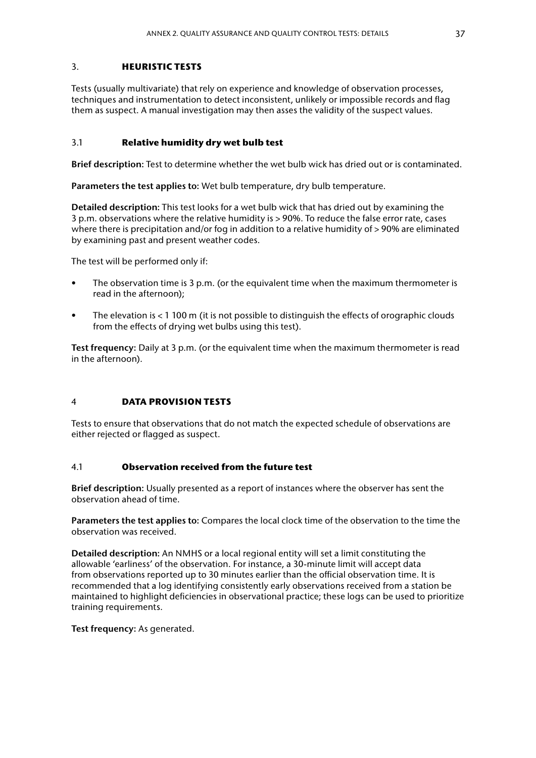#### 3. **HEURISTIC TESTS**

Tests (usually multivariate) that rely on experience and knowledge of observation processes, techniques and instrumentation to detect inconsistent, unlikely or impossible records and flag them as suspect. A manual investigation may then asses the validity of the suspect values.

#### 3.1 **Relative humidity dry wet bulb test**

**Brief description:** Test to determine whether the wet bulb wick has dried out or is contaminated.

**Parameters the test applies to:** Wet bulb temperature, dry bulb temperature.

**Detailed description:** This test looks for a wet bulb wick that has dried out by examining the 3 p.m. observations where the relative humidity is > 90%. To reduce the false error rate, cases where there is precipitation and/or fog in addition to a relative humidity of > 90% are eliminated by examining past and present weather codes.

The test will be performed only if:

- The observation time is 3 p.m. (or the equivalent time when the maximum thermometer is read in the afternoon);
- The elevation is < 1 100 m (it is not possible to distinguish the effects of orographic clouds from the effects of drying wet bulbs using this test).

**Test frequency:** Daily at 3 p.m. (or the equivalent time when the maximum thermometer is read in the afternoon).

### 4 **DATA PROVISION TESTS**

Tests to ensure that observations that do not match the expected schedule of observations are either rejected or flagged as suspect.

#### 4.1 **Observation received from the future test**

**Brief description:** Usually presented as a report of instances where the observer has sent the observation ahead of time.

**Parameters the test applies to:** Compares the local clock time of the observation to the time the observation was received.

**Detailed description:** An NMHS or a local regional entity will set a limit constituting the allowable 'earliness' of the observation. For instance, a 30-minute limit will accept data from observations reported up to 30 minutes earlier than the official observation time. It is recommended that a log identifying consistently early observations received from a station be maintained to highlight deficiencies in observational practice; these logs can be used to prioritize training requirements.

**Test frequency:** As generated.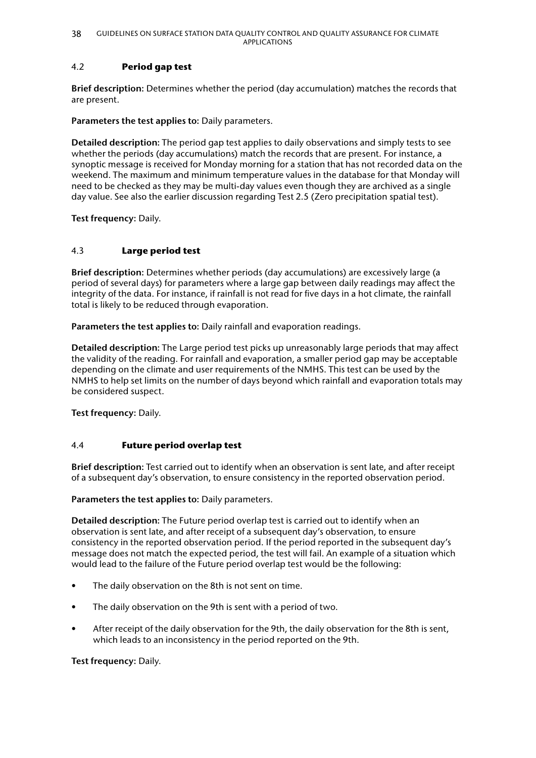## 4.2 **Period gap test**

**Brief description:** Determines whether the period (day accumulation) matches the records that are present.

**Parameters the test applies to:** Daily parameters.

**Detailed description:** The period gap test applies to daily observations and simply tests to see whether the periods (day accumulations) match the records that are present. For instance, a synoptic message is received for Monday morning for a station that has not recorded data on the weekend. The maximum and minimum temperature values in the database for that Monday will need to be checked as they may be multi-day values even though they are archived as a single day value. See also the earlier discussion regarding Test 2.5 (Zero precipitation spatial test).

**Test frequency:** Daily.

## 4.3 **Large period test**

**Brief description:** Determines whether periods (day accumulations) are excessively large (a period of several days) for parameters where a large gap between daily readings may affect the integrity of the data. For instance, if rainfall is not read for five days in a hot climate, the rainfall total is likely to be reduced through evaporation.

**Parameters the test applies to:** Daily rainfall and evaporation readings.

**Detailed description:** The Large period test picks up unreasonably large periods that may affect the validity of the reading. For rainfall and evaporation, a smaller period gap may be acceptable depending on the climate and user requirements of the NMHS. This test can be used by the NMHS to help set limits on the number of days beyond which rainfall and evaporation totals may be considered suspect.

**Test frequency:** Daily.

### 4.4 **Future period overlap test**

**Brief description:** Test carried out to identify when an observation is sent late, and after receipt of a subsequent day's observation, to ensure consistency in the reported observation period.

**Parameters the test applies to:** Daily parameters.

**Detailed description:** The Future period overlap test is carried out to identify when an observation is sent late, and after receipt of a subsequent day's observation, to ensure consistency in the reported observation period. If the period reported in the subsequent day's message does not match the expected period, the test will fail. An example of a situation which would lead to the failure of the Future period overlap test would be the following:

- The daily observation on the 8th is not sent on time.
- The daily observation on the 9th is sent with a period of two.
- After receipt of the daily observation for the 9th, the daily observation for the 8th is sent, which leads to an inconsistency in the period reported on the 9th.

**Test frequency:** Daily.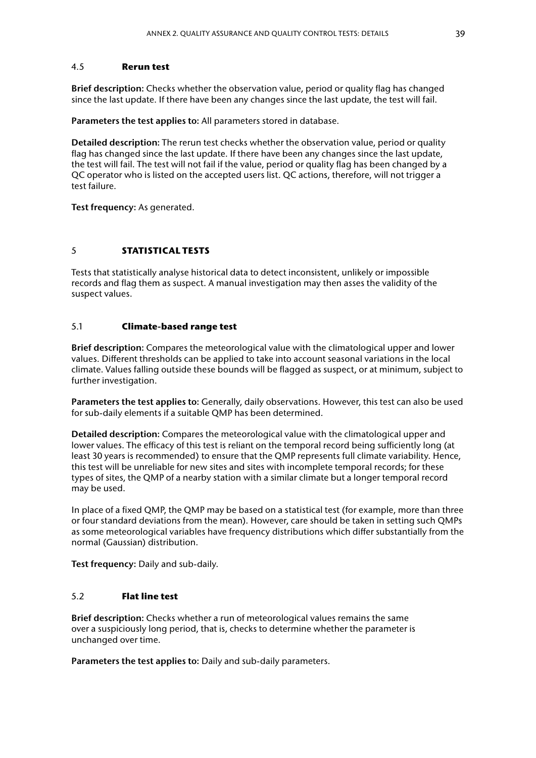#### 4.5 **Rerun test**

**Brief description:** Checks whether the observation value, period or quality flag has changed since the last update. If there have been any changes since the last update, the test will fail.

**Parameters the test applies to:** All parameters stored in database.

**Detailed description:** The rerun test checks whether the observation value, period or quality flag has changed since the last update. If there have been any changes since the last update, the test will fail. The test will not fail if the value, period or quality flag has been changed by a QC operator who is listed on the accepted users list. QC actions, therefore, will not trigger a test failure.

**Test frequency:** As generated.

### 5 **STATISTICAL TESTS**

Tests that statistically analyse historical data to detect inconsistent, unlikely or impossible records and flag them as suspect. A manual investigation may then asses the validity of the suspect values.

#### 5.1 **Climate‑based range test**

**Brief description:** Compares the meteorological value with the climatological upper and lower values. Different thresholds can be applied to take into account seasonal variations in the local climate. Values falling outside these bounds will be flagged as suspect, or at minimum, subject to further investigation.

**Parameters the test applies to:** Generally, daily observations. However, this test can also be used for sub-daily elements if a suitable QMP has been determined.

**Detailed description:** Compares the meteorological value with the climatological upper and lower values. The efficacy of this test is reliant on the temporal record being sufficiently long (at least 30 years is recommended) to ensure that the QMP represents full climate variability. Hence, this test will be unreliable for new sites and sites with incomplete temporal records; for these types of sites, the QMP of a nearby station with a similar climate but a longer temporal record may be used.

In place of a fixed QMP, the QMP may be based on a statistical test (for example, more than three or four standard deviations from the mean). However, care should be taken in setting such QMPs as some meteorological variables have frequency distributions which differ substantially from the normal (Gaussian) distribution.

**Test frequency:** Daily and sub-daily.

#### 5.2 **Flat line test**

**Brief description:** Checks whether a run of meteorological values remains the same over a suspiciously long period, that is, checks to determine whether the parameter is unchanged over time.

**Parameters the test applies to:** Daily and sub-daily parameters.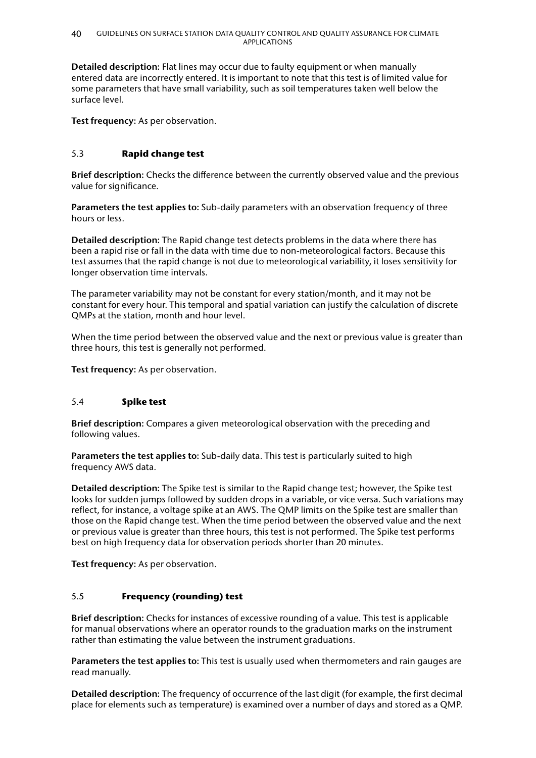**Detailed description:** Flat lines may occur due to faulty equipment or when manually entered data are incorrectly entered. It is important to note that this test is of limited value for some parameters that have small variability, such as soil temperatures taken well below the surface level.

**Test frequency:** As per observation.

## 5.3 **Rapid change test**

**Brief description:** Checks the difference between the currently observed value and the previous value for significance.

**Parameters the test applies to:** Sub-daily parameters with an observation frequency of three hours or less.

**Detailed description:** The Rapid change test detects problems in the data where there has been a rapid rise or fall in the data with time due to non-meteorological factors. Because this test assumes that the rapid change is not due to meteorological variability, it loses sensitivity for longer observation time intervals.

The parameter variability may not be constant for every station/month, and it may not be constant for every hour. This temporal and spatial variation can justify the calculation of discrete QMPs at the station, month and hour level.

When the time period between the observed value and the next or previous value is greater than three hours, this test is generally not performed.

**Test frequency:** As per observation.

### 5.4 **Spike test**

**Brief description:** Compares a given meteorological observation with the preceding and following values.

**Parameters the test applies to:** Sub-daily data. This test is particularly suited to high frequency AWS data.

**Detailed description:** The Spike test is similar to the Rapid change test; however, the Spike test looks for sudden jumps followed by sudden drops in a variable, or vice versa. Such variations may reflect, for instance, a voltage spike at an AWS. The QMP limits on the Spike test are smaller than those on the Rapid change test. When the time period between the observed value and the next or previous value is greater than three hours, this test is not performed. The Spike test performs best on high frequency data for observation periods shorter than 20 minutes.

**Test frequency:** As per observation.

### 5.5 **Frequency (rounding) test**

**Brief description:** Checks for instances of excessive rounding of a value. This test is applicable for manual observations where an operator rounds to the graduation marks on the instrument rather than estimating the value between the instrument graduations.

**Parameters the test applies to:** This test is usually used when thermometers and rain gauges are read manually.

**Detailed description:** The frequency of occurrence of the last digit (for example, the first decimal place for elements such as temperature) is examined over a number of days and stored as a QMP.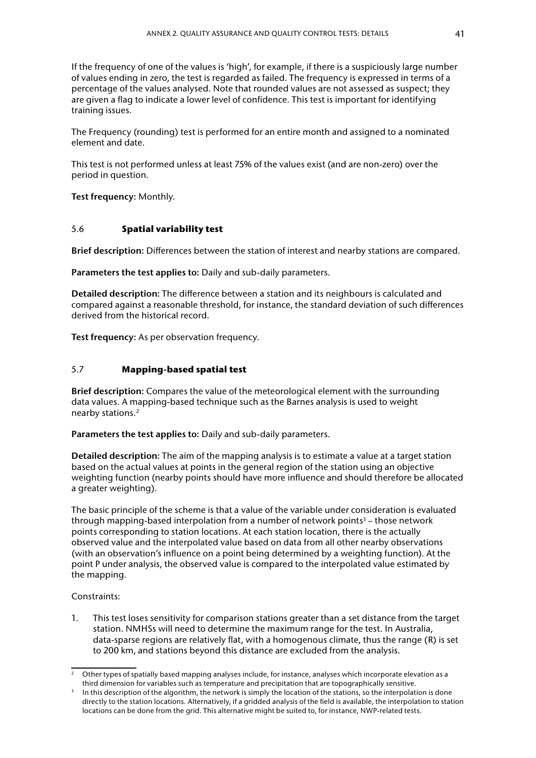If the frequency of one of the values is 'high', for example, if there is a suspiciously large number of values ending in zero, the test is regarded as failed. The frequency is expressed in terms of a percentage of the values analysed. Note that rounded values are not assessed as suspect; they are given a flag to indicate a lower level of confidence. This test is important for identifying training issues.

The Frequency (rounding) test is performed for an entire month and assigned to a nominated element and date.

This test is not performed unless at least 75% of the values exist (and are non-zero) over the period in question.

**Test frequency:** Monthly.

#### 5.6 **Spatial variability test**

**Brief description:** Differences between the station of interest and nearby stations are compared.

**Parameters the test applies to:** Daily and sub-daily parameters.

**Detailed description:** The difference between a station and its neighbours is calculated and compared against a reasonable threshold, for instance, the standard deviation of such differences derived from the historical record.

**Test frequency:** As per observation frequency.

### 5.7 **Mapping‑based spatial test**

**Brief description:** Compares the value of the meteorological element with the surrounding data values. A mapping-based technique such as the Barnes analysis is used to weight nearby stations.2

**Parameters the test applies to:** Daily and sub-daily parameters.

**Detailed description:** The aim of the mapping analysis is to estimate a value at a target station based on the actual values at points in the general region of the station using an objective weighting function (nearby points should have more influence and should therefore be allocated a greater weighting).

The basic principle of the scheme is that a value of the variable under consideration is evaluated through mapping-based interpolation from a number of network points<sup>3</sup> – those network points corresponding to station locations. At each station location, there is the actually observed value and the interpolated value based on data from all other nearby observations (with an observation's influence on a point being determined by a weighting function). At the point P under analysis, the observed value is compared to the interpolated value estimated by the mapping.

#### Constraints:

1. This test loses sensitivity for comparison stations greater than a set distance from the target station. NMHSs will need to determine the maximum range for the test. In Australia, data-sparse regions are relatively flat, with a homogenous climate, thus the range (R) is set to 200 km, and stations beyond this distance are excluded from the analysis.

<sup>2</sup> Other types of spatially based mapping analyses include, for instance, analyses which incorporate elevation as a

third dimension for variables such as temperature and precipitation that are topographically sensitive.<br>In this description of the algorithm, the network is simply the location of the stations, so the interpolation is done directly to the station locations. Alternatively, if a gridded analysis of the field is available, the interpolation to station locations can be done from the grid. This alternative might be suited to, for instance, NWP-related tests.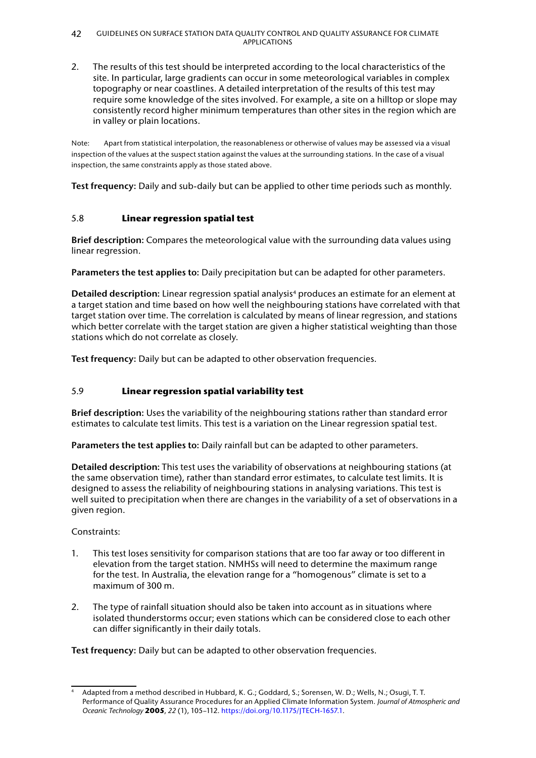#### 42 GUIDELINES ON SURFACE STATION DATA QUALITY CONTROL AND QUALITY ASSURANCE FOR CLIMATE APPLICATIONS

2. The results of this test should be interpreted according to the local characteristics of the site. In particular, large gradients can occur in some meteorological variables in complex topography or near coastlines. A detailed interpretation of the results of this test may require some knowledge of the sites involved. For example, a site on a hilltop or slope may consistently record higher minimum temperatures than other sites in the region which are in valley or plain locations.

Note: Apart from statistical interpolation, the reasonableness or otherwise of values may be assessed via a visual inspection of the values at the suspect station against the values at the surrounding stations. In the case of a visual inspection, the same constraints apply as those stated above.

**Test frequency:** Daily and sub-daily but can be applied to other time periods such as monthly.

## 5.8 **Linear regression spatial test**

**Brief description:** Compares the meteorological value with the surrounding data values using linear regression.

**Parameters the test applies to:** Daily precipitation but can be adapted for other parameters.

**Detailed description:** Linear regression spatial analysis<sup>4</sup> produces an estimate for an element at a target station and time based on how well the neighbouring stations have correlated with that target station over time. The correlation is calculated by means of linear regression, and stations which better correlate with the target station are given a higher statistical weighting than those stations which do not correlate as closely.

**Test frequency:** Daily but can be adapted to other observation frequencies.

## 5.9 **Linear regression spatial variability test**

**Brief description:** Uses the variability of the neighbouring stations rather than standard error estimates to calculate test limits. This test is a variation on the Linear regression spatial test.

**Parameters the test applies to:** Daily rainfall but can be adapted to other parameters.

**Detailed description:** This test uses the variability of observations at neighbouring stations (at the same observation time), rather than standard error estimates, to calculate test limits. It is designed to assess the reliability of neighbouring stations in analysing variations. This test is well suited to precipitation when there are changes in the variability of a set of observations in a given region.

Constraints:

- 1. This test loses sensitivity for comparison stations that are too far away or too different in elevation from the target station. NMHSs will need to determine the maximum range for the test. In Australia, the elevation range for a "homogenous" climate is set to a maximum of 300 m.
- 2. The type of rainfall situation should also be taken into account as in situations where isolated thunderstorms occur; even stations which can be considered close to each other can differ significantly in their daily totals.

**Test frequency:** Daily but can be adapted to other observation frequencies.

Adapted from a method described in Hubbard, K. G.; Goddard, S.; Sorensen, W. D.; Wells, N.; Osugi, T. T. Performance of Quality Assurance Procedures for an Applied Climate Information System. *Journal of Atmospheric and Oceanic Technology* **2005**, *22* (1), 105–112. [https://doi.org/10.1175/JTECH-1657.1.](https://doi.org/10.1175/JTECH-1657.1)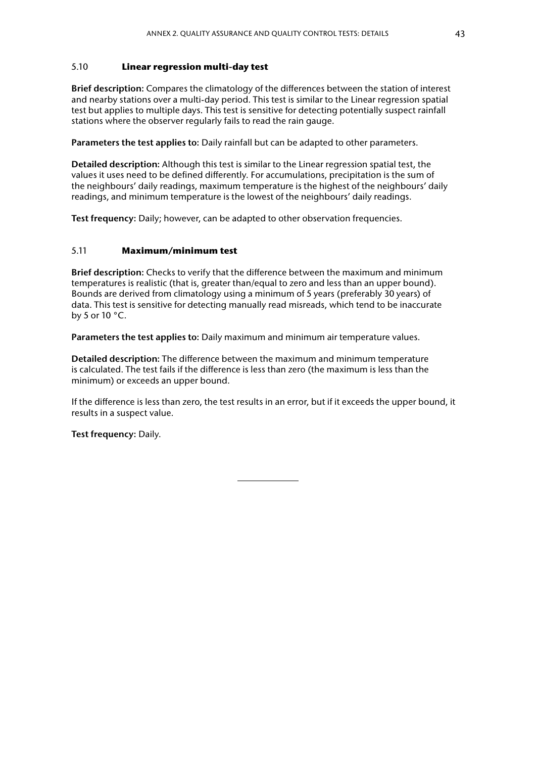#### 5.10 **Linear regression multi‑day test**

**Brief description:** Compares the climatology of the differences between the station of interest and nearby stations over a multi-day period. This test is similar to the Linear regression spatial test but applies to multiple days. This test is sensitive for detecting potentially suspect rainfall stations where the observer regularly fails to read the rain gauge.

**Parameters the test applies to:** Daily rainfall but can be adapted to other parameters.

**Detailed description:** Although this test is similar to the Linear regression spatial test, the values it uses need to be defined differently. For accumulations, precipitation is the sum of the neighbours' daily readings, maximum temperature is the highest of the neighbours' daily readings, and minimum temperature is the lowest of the neighbours' daily readings.

**Test frequency:** Daily; however, can be adapted to other observation frequencies.

#### 5.11 **Maximum/minimum test**

**Brief description:** Checks to verify that the difference between the maximum and minimum temperatures is realistic (that is, greater than/equal to zero and less than an upper bound). Bounds are derived from climatology using a minimum of 5 years (preferably 30 years) of data. This test is sensitive for detecting manually read misreads, which tend to be inaccurate by 5 or 10 °C.

**Parameters the test applies to:** Daily maximum and minimum air temperature values.

**Detailed description:** The difference between the maximum and minimum temperature is calculated. The test fails if the difference is less than zero (the maximum is less than the minimum) or exceeds an upper bound.

If the difference is less than zero, the test results in an error, but if it exceeds the upper bound, it results in a suspect value.

**Test frequency:** Daily.